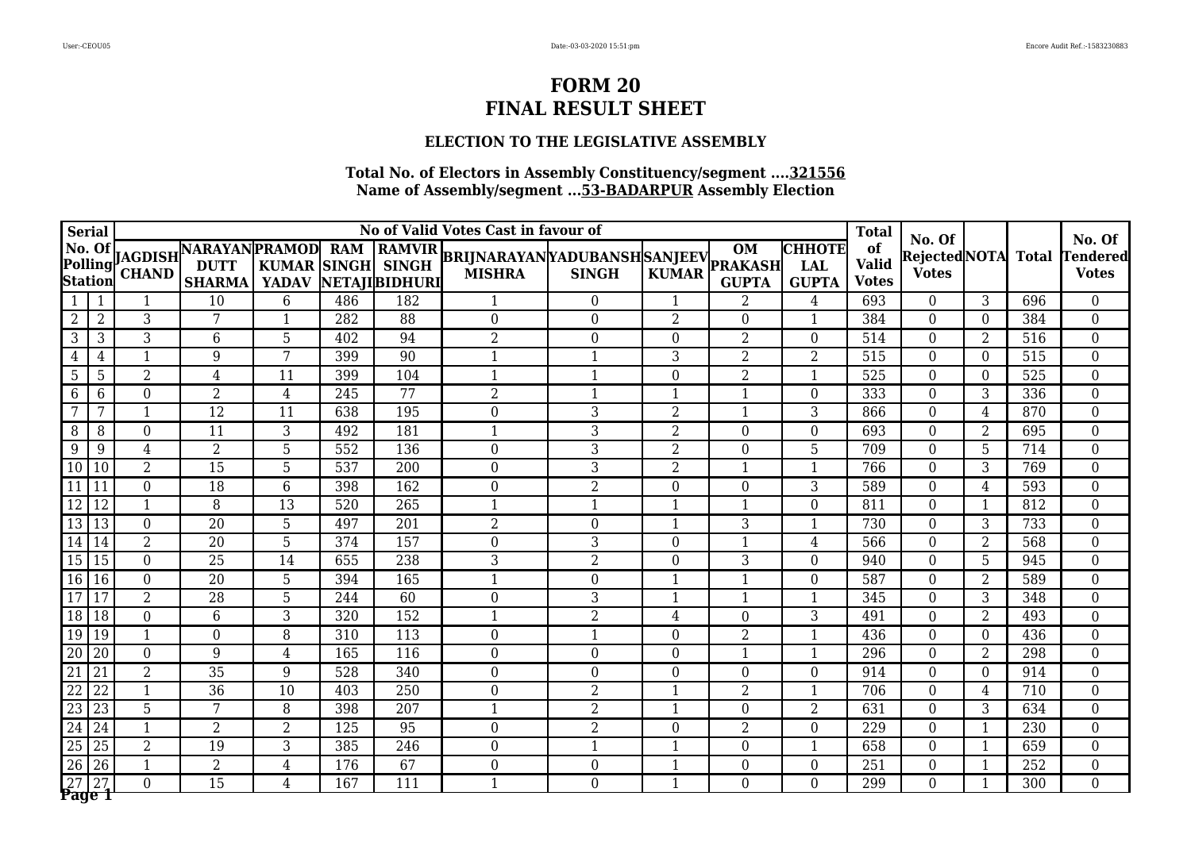### **ELECTION TO THE LEGISLATIVE ASSEMBLY**

|                 | <b>Serial</b>   |                  |                                               |                         |                            |                  | No of Valid Votes Cast in favour of                          |                  |                |                                             |                                             | <b>Total</b>                       |                                              |                |                  |                                           |
|-----------------|-----------------|------------------|-----------------------------------------------|-------------------------|----------------------------|------------------|--------------------------------------------------------------|------------------|----------------|---------------------------------------------|---------------------------------------------|------------------------------------|----------------------------------------------|----------------|------------------|-------------------------------------------|
|                 |                 |                  | Polling JAGDISH NARAYAN PRAMOD ESTATION CHAND |                         | <b>RAM</b><br><b>SINGH</b> | NETAJIBIDHURI    | <b>RAMVIR BRIJNARAYAN YADUBANSH SANJEEV</b><br><b>MISHRA</b> | <b>SINGH</b>     | <b>KUMAR</b>   | <b>OM</b><br><b>PRAKASH</b><br><b>GUPTA</b> | <b>СННОТЕ</b><br><b>LAL</b><br><b>GUPTA</b> | of<br><b>Valid</b><br><b>Votes</b> | No. Of<br>RejectedNOTA Total<br><b>Votes</b> |                |                  | No. Of<br><b>Tendered</b><br><b>Votes</b> |
| $\mathbf{1}$    | 1               | 1                | $\overline{10}$                               | $\overline{6}$          | 486                        | 182              | $\mathbf 1$                                                  | $\overline{0}$   | $\mathbf{1}$   | $\overline{2}$                              | $\overline{4}$                              | 693                                | $\Omega$                                     | 3              | 696              | $\overline{0}$                            |
| $\overline{2}$  | $\overline{2}$  | 3                | 7                                             | $\overline{\mathbf{1}}$ | 282                        | 88               | $\boldsymbol{0}$                                             | $\boldsymbol{0}$ | $\overline{2}$ | $\overline{0}$                              | $\mathbf{1}$                                | 384                                | $\overline{0}$                               | $\theta$       | 384              | $\overline{0}$                            |
| 3 <sup>1</sup>  | 3               | $\overline{3}$   | 6                                             | 5                       | 402                        | 94               | $\overline{2}$                                               | $\overline{0}$   | $\overline{0}$ | $\overline{2}$                              | $\boldsymbol{0}$                            | 514                                | $\overline{0}$                               | $\overline{2}$ | 516              | $\overline{0}$                            |
| $\overline{4}$  | 4               | 1                | 9                                             | 7                       | 399                        | 90               | 1                                                            | 1                | 3              | $\overline{2}$                              | $\overline{2}$                              | 515                                | $\Omega$                                     | $\theta$       | 515              | $\overline{0}$                            |
| $5\phantom{.0}$ | 5               | $\overline{2}$   | 4                                             | 11                      | 399                        | 104              | $\mathbf{1}$                                                 | 1                | $\Omega$       | $\overline{2}$                              | 1                                           | 525                                | $\Omega$                                     | $\Omega$       | 525              | $\boldsymbol{0}$                          |
| 6               | 6               | $\overline{0}$   | $\overline{2}$                                | $\overline{4}$          | $\overline{245}$           | $\overline{77}$  | $\overline{2}$                                               | $\mathbf{1}$     | 1              | $\mathbf{1}$                                | $\boldsymbol{0}$                            | 333                                | $\Omega$                                     | 3              | 336              | $\overline{0}$                            |
| 7               | 7               | $\mathbf{1}$     | $\overline{12}$                               | $\overline{11}$         | 638                        | 195              | $\boldsymbol{0}$                                             | $\overline{3}$   | $\overline{2}$ | $\mathbf{1}$                                | $\overline{3}$                              | 866                                | $\Omega$                                     | $\overline{4}$ | 870              | $\overline{0}$                            |
| 8               | 8               | $\overline{0}$   | 11                                            | 3                       | 492                        | 181              | $\mathbf{1}$                                                 | 3                | 2              | $\mathbf{0}$                                | $\overline{0}$                              | 693                                | $\Omega$                                     | $\overline{2}$ | 695              | $\overline{0}$                            |
| 9               | 9               | $\overline{4}$   | $\overline{2}$                                | $\overline{5}$          | 552                        | 136              | $\boldsymbol{0}$                                             | $\overline{3}$   | $\overline{2}$ | $\mathbf{0}$                                | $\overline{5}$                              | 709                                | $\Omega$                                     | $\overline{5}$ | 714              | $\overline{0}$                            |
| 10 <sup>1</sup> | 10              | $\boldsymbol{2}$ | 15                                            | 5                       | 537                        | 200              | $\boldsymbol{0}$                                             | 3                | $\overline{2}$ | $\mathbf{1}$                                | $\mathbf{1}$                                | 766                                | $\overline{0}$                               | 3              | 769              | $\boldsymbol{0}$                          |
| $\overline{11}$ | 11              | $\overline{0}$   | 18                                            | 6                       | 398                        | 162              | $\boldsymbol{0}$                                             | $\overline{2}$   | $\Omega$       | $\mathbf{0}$                                | 3                                           | 589                                | $\overline{0}$                               | $\overline{4}$ | 593              | $\overline{0}$                            |
| $\overline{12}$ | 12              | 1                | 8                                             | $\overline{13}$         | 520                        | 265              | $\mathbf{1}$                                                 | 1                | 1              | -1                                          | $\boldsymbol{0}$                            | 811                                | $\Omega$                                     | 1              | 812              | $\overline{0}$                            |
| $\overline{13}$ | 13              | $\boldsymbol{0}$ | $\overline{20}$                               | 5                       | 497                        | 201              | $\overline{2}$                                               | $\overline{0}$   |                | 3                                           | $\mathbf{1}$                                | 730                                | $\Omega$                                     | 3              | 733              | $\overline{0}$                            |
| 14              | 14              | $\overline{2}$   | 20                                            | 5                       | 374                        | 157              | $\boldsymbol{0}$                                             | 3                | $\Omega$       | $\overline{\mathbf{1}}$                     | 4                                           | 566                                | $\Omega$                                     | $\overline{2}$ | 568              | $\overline{0}$                            |
| 15              | $\overline{15}$ | $\boldsymbol{0}$ | $\overline{25}$                               | 14                      | 655                        | 238              | $\overline{3}$                                               | $\overline{2}$   | $\Omega$       | $\overline{3}$                              | $\boldsymbol{0}$                            | 940                                | $\Omega$                                     | $\overline{5}$ | 945              | $\overline{0}$                            |
| 16              | 16              | $\overline{0}$   | 20                                            | 5                       | 394                        | 165              | $\mathbf{1}$                                                 | $\overline{0}$   |                |                                             | $\boldsymbol{0}$                            | 587                                | $\Omega$                                     | $\overline{2}$ | 589              | $\boldsymbol{0}$                          |
| $\overline{17}$ | $\overline{17}$ | $\overline{2}$   | $\overline{28}$                               | 5                       | 244                        | 60               | $\boldsymbol{0}$                                             | $\overline{3}$   |                | $\mathbf{1}$                                | $\overline{1}$                              | 345                                | $\Omega$                                     | 3              | 348              | $\overline{0}$                            |
| $\overline{18}$ | 18              | $\boldsymbol{0}$ | 6                                             | 3                       | 320                        | 152              | $\mathbf{1}$                                                 | $\overline{2}$   | 4              | $\boldsymbol{0}$                            | $\overline{3}$                              | 491                                | $\Omega$                                     | $\overline{2}$ | 493              | $\overline{0}$                            |
| 19              | 19              | $\mathbf{1}$     | $\Omega$                                      | 8                       | 310                        | 113              | $\boldsymbol{0}$                                             | $\mathbf{1}$     | $\Omega$       | $\overline{2}$                              | $\mathbf{1}$                                | 436                                | $\Omega$                                     | $\Omega$       | 436              | $\overline{0}$                            |
| $\overline{20}$ | 20              | $\overline{0}$   | 9                                             | 4                       | 165                        | $\overline{116}$ | $\boldsymbol{0}$                                             | $\overline{0}$   | $\Omega$       |                                             | $\mathbf{1}$                                | 296                                | $\Omega$                                     | $\overline{2}$ | 298              | $\overline{0}$                            |
| $\overline{21}$ | 21              | $\overline{2}$   | $\overline{35}$                               | 9                       | $\overline{528}$           | $\overline{340}$ | $\boldsymbol{0}$                                             | $\boldsymbol{0}$ | $\overline{0}$ | $\theta$                                    | $\boldsymbol{0}$                            | 914                                | $\Omega$                                     | $\theta$       | 914              | $\overline{0}$                            |
| 22              | $\overline{22}$ | $\mathbf{1}$     | 36                                            | 10                      | 403                        | 250              | $\boldsymbol{0}$                                             | $\overline{2}$   | -1             | $\overline{2}$                              | $\mathbf{1}$                                | 706                                | $\Omega$                                     | 4              | $\overline{710}$ | $\overline{0}$                            |
| $\overline{23}$ | 23              | $\overline{5}$   | 7                                             | 8                       | 398                        | $\overline{207}$ | $\mathbf{1}$                                                 | $\overline{2}$   |                | $\Omega$                                    | $\overline{2}$                              | 631                                | $\Omega$                                     | $\overline{3}$ | 634              | $\overline{0}$                            |
| $\overline{24}$ | 24              | $\mathbf{1}$     | $\overline{2}$                                | $\overline{2}$          | 125                        | $\overline{95}$  | $\boldsymbol{0}$                                             | $\overline{2}$   | $\Omega$       | $\overline{2}$                              | $\overline{0}$                              | $\overline{229}$                   | $\Omega$                                     |                | $\overline{230}$ | $\overline{0}$                            |
| $\overline{25}$ | $\overline{25}$ | $\overline{2}$   | 19                                            | 3                       | 385                        | $\overline{246}$ | $\boldsymbol{0}$                                             | $\mathbf{1}$     | $\mathbf{1}$   | $\boldsymbol{0}$                            | $\mathbf{1}$                                | 658                                | $\overline{0}$                               | 1              | 659              | $\overline{0}$                            |
| 26              | 26              | $\mathbf{1}$     | $\overline{2}$                                | 4                       | 176                        | 67               | $\boldsymbol{0}$                                             | $\boldsymbol{0}$ | 1              | $\boldsymbol{0}$                            | $\boldsymbol{0}$                            | 251                                | $\Omega$                                     | $\mathbf 1$    | 252              | $\overline{0}$                            |
| 27              | Page 1          | $\overline{0}$   | $\overline{15}$                               | 4                       | 167                        | 111              | $\mathbf{1}$                                                 | $\overline{0}$   | $\mathbf{1}$   | $\Omega$                                    | $\mathbf{0}$                                | 299                                | $\Omega$                                     | $\mathbf{1}$   | 300              | $\overline{0}$                            |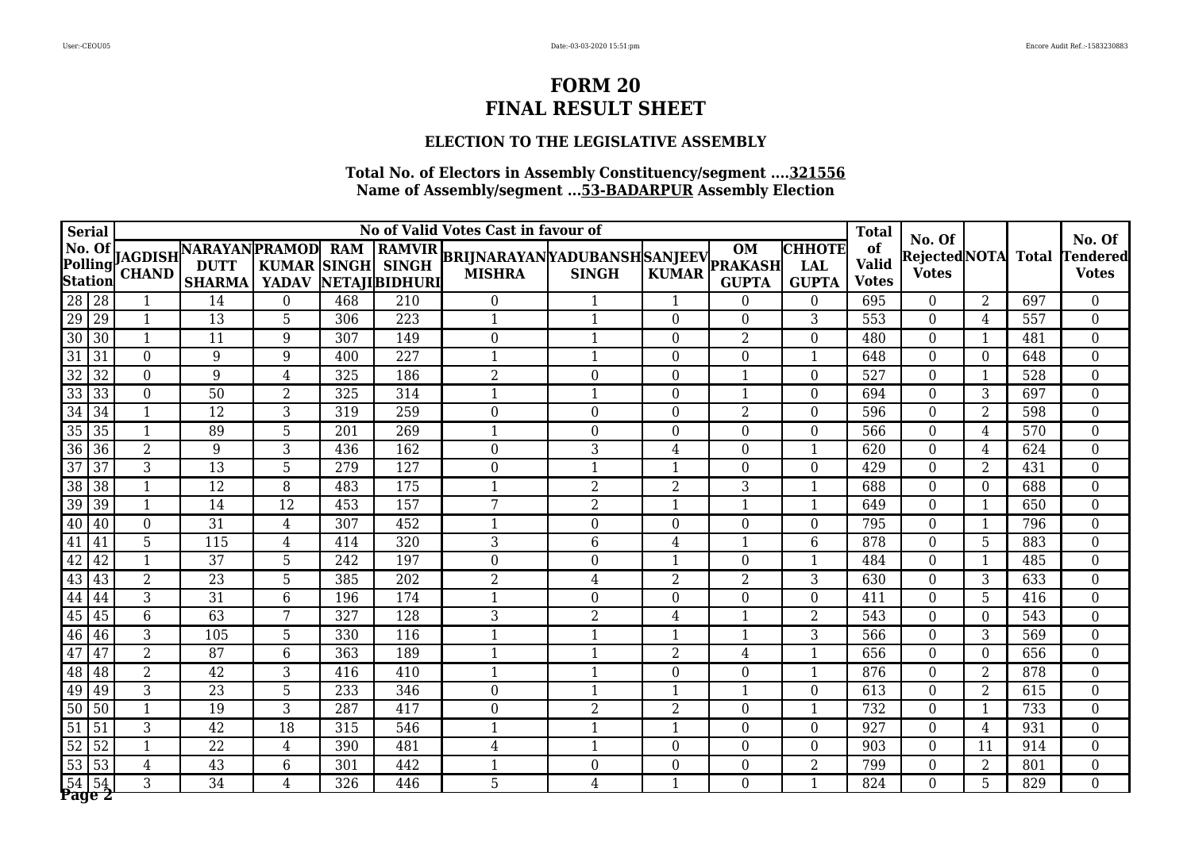### **ELECTION TO THE LEGISLATIVE ASSEMBLY**

|                 | <b>Serial</b>      |                  |                                               |                 |                            |                  | No of Valid Votes Cast in favour of                   |                  |                |                                             |                                             | <b>Total</b>                       |                                              |                  |     |                                           |
|-----------------|--------------------|------------------|-----------------------------------------------|-----------------|----------------------------|------------------|-------------------------------------------------------|------------------|----------------|---------------------------------------------|---------------------------------------------|------------------------------------|----------------------------------------------|------------------|-----|-------------------------------------------|
|                 |                    |                  | Polling JAGDISH NARAYAN PRAMOD ESTATION CHAND |                 | <b>RAM</b><br><b>SINGH</b> | NETAJIBIDHURI    | RAMVIR BRIJNARAYAN YADUBANSH SANJEEV<br><b>MISHRA</b> | <b>SINGH</b>     | <b>KUMAR</b>   | <b>OM</b><br><b>PRAKASH</b><br><b>GUPTA</b> | <b>СННОТЕ</b><br><b>LAL</b><br><b>GUPTA</b> | of<br><b>Valid</b><br><b>Votes</b> | No. Of<br>RejectedNOTA Total<br><b>Votes</b> |                  |     | No. Of<br><b>Tendered</b><br><b>Votes</b> |
|                 | $28 \mid 28$       | 1                | 14                                            | $\overline{0}$  | 468                        | 210              | $\boldsymbol{0}$                                      |                  |                | $\theta$                                    | $\boldsymbol{0}$                            | 695                                | $\Omega$                                     | $\overline{2}$   | 697 | $\overline{0}$                            |
| $\overline{29}$ | 29                 | $\mathbf{1}$     | $\overline{13}$                               | 5               | 306                        | 223              | $\mathbf{1}$                                          | $\mathbf{1}$     | $\Omega$       | $\theta$                                    | $\overline{3}$                              | 553                                | $\overline{0}$                               | $\overline{4}$   | 557 | $\overline{0}$                            |
|                 | 30 30              | $\mathbf{1}$     | 11                                            | 9               | 307                        | 149              | $\boldsymbol{0}$                                      | $\mathbf{1}$     | $\overline{0}$ | $\overline{2}$                              | $\boldsymbol{0}$                            | 480                                | $\overline{0}$                               | 1                | 481 | $\overline{0}$                            |
| $\overline{31}$ | 31                 | $\overline{0}$   | 9                                             | 9               | 400                        | 227              | $\mathbf{1}$                                          | 1                | $\Omega$       | $\theta$                                    | $\mathbf{1}$                                | 648                                | $\Omega$                                     | $\Omega$         | 648 | $\overline{0}$                            |
| $\overline{32}$ | 32                 | $\boldsymbol{0}$ | 9                                             | 4               | 325                        | 186              | $\overline{2}$                                        | $\boldsymbol{0}$ | $\Omega$       |                                             | 0                                           | 527                                | $\Omega$                                     |                  | 528 | $\boldsymbol{0}$                          |
| 33              | 33                 | $\overline{0}$   | 50                                            | $\overline{2}$  | 325                        | 314              | $\mathbf{1}$                                          | $\mathbf{1}$     | $\Omega$       | $\mathbf{1}$                                | $\boldsymbol{0}$                            | 694                                | $\Omega$                                     | 3                | 697 | $\overline{0}$                            |
| 34              | 34                 | $\mathbf{1}$     | $\overline{12}$                               | 3               | 319                        | $\overline{259}$ | $\boldsymbol{0}$                                      | $\overline{0}$   | $\Omega$       | $\overline{2}$                              | $\boldsymbol{0}$                            | 596                                | $\Omega$                                     | $\overline{2}$   | 598 | $\overline{0}$                            |
| 35              | 35                 | $\mathbf{1}$     | 89                                            | 5               | 201                        | 269              | $\mathbf{1}$                                          | $\overline{0}$   | $\Omega$       | $\mathbf{0}$                                | $\mathbf{0}$                                | 566                                | $\Omega$                                     | 4                | 570 | $\overline{0}$                            |
|                 | $36 \mid 36$       | $\overline{2}$   | 9                                             | $\overline{3}$  | 436                        | 162              | $\boldsymbol{0}$                                      | $\overline{3}$   | $\overline{4}$ | $\theta$                                    | $\mathbf{1}$                                | 620                                | $\Omega$                                     | $\overline{4}$   | 624 | $\overline{0}$                            |
| $\overline{37}$ | 37                 | 3                | 13                                            | 5               | 279                        | 127              | $\boldsymbol{0}$                                      | $\mathbf{1}$     | 1              | $\boldsymbol{0}$                            | $\boldsymbol{0}$                            | 429                                | $\overline{0}$                               | 2                | 431 | $\overline{0}$                            |
| $\overline{38}$ | $\overline{38}$    | $\mathbf{1}$     | $\overline{12}$                               | 8               | 483                        | 175              | $\mathbf{1}$                                          | $\overline{2}$   | 2              | 3                                           | $\mathbf{1}$                                | 688                                | $\overline{0}$                               | $\boldsymbol{0}$ | 688 | $\overline{0}$                            |
|                 | 39 39              | $\mathbf{1}$     | 14                                            | $\overline{12}$ | 453                        | 157              | $\overline{7}$                                        | 2                | 1              | -1                                          | $\mathbf{1}$                                | 649                                | $\Omega$                                     | -1               | 650 | $\boldsymbol{0}$                          |
| 40              | 40                 | $\boldsymbol{0}$ | $\overline{31}$                               | 4               | 307                        | 452              | $\mathbf{1}$                                          | $\overline{0}$   | $\Omega$       | $\mathbf{0}$                                | $\boldsymbol{0}$                            | 795                                | $\Omega$                                     |                  | 796 | $\overline{0}$                            |
| 41              | 41                 | $\overline{5}$   | 115                                           | 4               | 414                        | 320              | 3                                                     | 6                | 4              | -1                                          | 6                                           | 878                                | $\Omega$                                     | 5                | 883 | $\overline{0}$                            |
| $\overline{42}$ | 42                 | $\mathbf{1}$     | $\overline{37}$                               | 5               | $\overline{242}$           | 197              | $\boldsymbol{0}$                                      | $\overline{0}$   |                | $\Omega$                                    | $\mathbf{1}$                                | 484                                | $\Omega$                                     | $\mathbf{1}$     | 485 | $\overline{0}$                            |
| 43              | 43                 | $\overline{2}$   | $\overline{23}$                               | 5               | 385                        | 202              | 2                                                     | 4                | $\overline{2}$ | $\overline{2}$                              | 3                                           | 630                                | $\Omega$                                     | 3                | 633 | $\boldsymbol{0}$                          |
| 44              | 44                 | $\overline{3}$   | $\overline{31}$                               | 6               | 196                        | 174              | $\mathbf{1}$                                          | $\overline{0}$   | $\overline{0}$ | $\theta$                                    | $\overline{0}$                              | 411                                | $\Omega$                                     | 5                | 416 | $\overline{0}$                            |
| 45              | 45                 | $\overline{6}$   | 63                                            | 7               | 327                        | 128              | 3                                                     | $\overline{2}$   | 4              |                                             | $\overline{2}$                              | 543                                | $\Omega$                                     | $\boldsymbol{0}$ | 543 | $\overline{0}$                            |
| 46              | 46                 | $\overline{3}$   | 105                                           | 5               | 330                        | 116              | $\mathbf{1}$                                          | 1                |                |                                             | $\overline{3}$                              | 566                                | $\Omega$                                     | 3                | 569 | $\overline{0}$                            |
| 47              | 47                 | $\overline{2}$   | 87                                            | 6               | 363                        | 189              | 1                                                     | 1                | $\overline{2}$ | 4                                           | $\mathbf{1}$                                | 656                                | $\Omega$                                     | $\Omega$         | 656 | $\overline{0}$                            |
|                 | 48 48              | $\overline{2}$   | 42                                            | 3               | 416                        | 410              | $\mathbf{1}$                                          | $\mathbf{1}$     | $\overline{0}$ | $\mathbf{0}$                                | $\mathbf{1}$                                | 876                                | $\Omega$                                     | $\overline{2}$   | 878 | $\overline{0}$                            |
|                 | 49 49              | $\overline{3}$   | $\overline{23}$                               | 5               | 233                        | 346              | $\boldsymbol{0}$                                      | $\mathbf{1}$     | 1              |                                             | $\boldsymbol{0}$                            | 613                                | $\Omega$                                     | $\overline{2}$   | 615 | $\overline{0}$                            |
|                 | $50\overline{)50}$ | $\mathbf{1}$     | $\overline{19}$                               | $\overline{3}$  | $\overline{287}$           | 417              | $\overline{0}$                                        | $\overline{2}$   | 2              | $\Omega$                                    | $\overline{1}$                              | 732                                | $\Omega$                                     | -1               | 733 | $\overline{0}$                            |
| $\overline{51}$ | $\overline{51}$    | 3                | $\overline{42}$                               | $\overline{18}$ | 315                        | 546              | $\mathbf{1}$                                          | 1                |                | $\mathbf{0}$                                | $\mathbf{0}$                                | 927                                | $\Omega$                                     | 4                | 931 | $\overline{0}$                            |
| $\overline{52}$ | $\overline{52}$    | $\mathbf{1}$     | $\overline{22}$                               | $\overline{4}$  | 390                        | 481              | $\overline{4}$                                        | $\mathbf{1}$     | $\overline{0}$ | $\mathbf{0}$                                | $\boldsymbol{0}$                            | 903                                | $\overline{0}$                               | 11               | 914 | $\overline{0}$                            |
| 53              | 53                 | $\overline{4}$   | 43                                            | 6               | 301                        | 442              | $\mathbf{1}$                                          | $\boldsymbol{0}$ | $\overline{0}$ | $\boldsymbol{0}$                            | $\overline{2}$                              | 799                                | $\Omega$                                     | $\overline{2}$   | 801 | $\overline{0}$                            |
| 54              | 54<br>Page 2       | 3                | 34                                            | 4               | 326                        | 446              | 5                                                     | 4                | $\mathbf{1}$   | $\Omega$                                    | $\mathbf{1}$                                | 824                                | $\Omega$                                     | 5                | 829 | $\overline{0}$                            |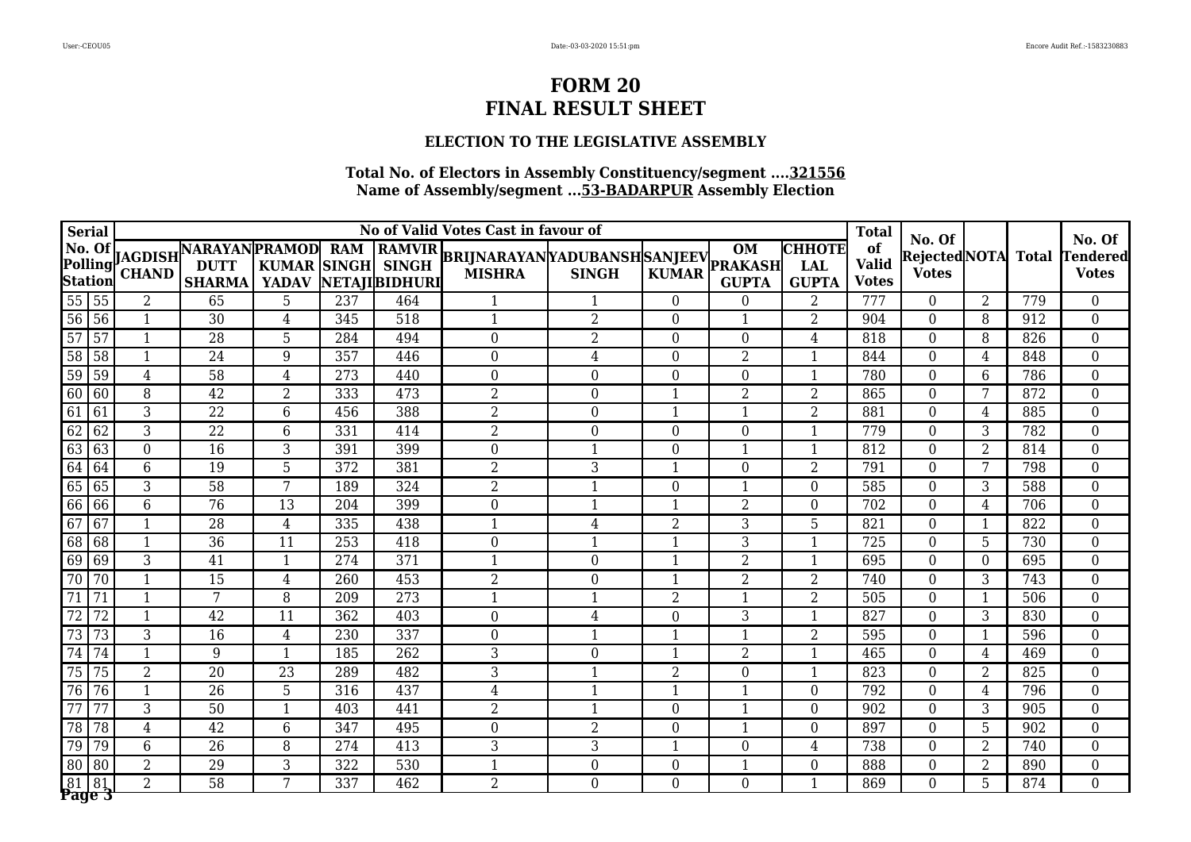### **ELECTION TO THE LEGISLATIVE ASSEMBLY**

|                 | <b>Serial</b>   |                |                                                                             |                         |                            |                  | No of Valid Votes Cast in favour of                          |                  |                |                                             |                                             | <b>Total</b>                       |                                        |                |                  |                                           |
|-----------------|-----------------|----------------|-----------------------------------------------------------------------------|-------------------------|----------------------------|------------------|--------------------------------------------------------------|------------------|----------------|---------------------------------------------|---------------------------------------------|------------------------------------|----------------------------------------|----------------|------------------|-------------------------------------------|
|                 | <b>Station</b>  |                | No. Of AGDISH NARAYAN PRAMOD<br>Polling CHAND SHAPMA VADAY<br><b>SHARMA</b> | <b>YADAV</b>            | <b>RAM</b><br><b>SINGH</b> | NETAJIBIDHURI    | <b>RAMVIR</b> BRIJNARAYAN YADUBANSH SANJEEV<br><b>MISHRA</b> | <b>SINGH</b>     | <b>KUMAR</b>   | <b>OM</b><br><b>PRAKASH</b><br><b>GUPTA</b> | <b>СННОТЕ</b><br><b>LAL</b><br><b>GUPTA</b> | of<br><b>Valid</b><br><b>Votes</b> | No. Of<br>RejectedNOTA<br><b>Votes</b> |                | <b>Total</b>     | No. Of<br><b>Tendered</b><br><b>Votes</b> |
|                 | 55 55           | $\overline{2}$ | 65                                                                          | $\overline{5}$          | 237                        | 464              | $\mathbf 1$                                                  |                  | $\Omega$       | $\overline{0}$                              | $\overline{2}$                              | 777                                | $\Omega$                               | $\overline{2}$ | 779              | $\overline{0}$                            |
|                 | 56 56           | $\mathbf{1}$   | 30                                                                          | $\overline{4}$          | 345                        | 518              | $\mathbf{1}$                                                 | $\overline{2}$   | $\Omega$       | $\mathbf{1}$                                | $\overline{2}$                              | 904                                | $\overline{0}$                         | 8              | 912              | $\overline{0}$                            |
| $\overline{57}$ | $\overline{57}$ | $\mathbf{1}$   | 28                                                                          | 5                       | 284                        | 494              | $\boldsymbol{0}$                                             | $\overline{2}$   | $\overline{0}$ | $\boldsymbol{0}$                            | $\overline{4}$                              | 818                                | $\Omega$                               | 8              | 826              | $\overline{0}$                            |
|                 | 58 58           | 1              | 24                                                                          | 9                       | 357                        | 446              | $\boldsymbol{0}$                                             | 4                | $\Omega$       | $\overline{2}$                              | $\mathbf{1}$                                | 844                                | $\Omega$                               | 4              | 848              | $\overline{0}$                            |
| 59              | 59              | $\overline{4}$ | 58                                                                          | 4                       | 273                        | 440              | $\boldsymbol{0}$                                             | $\boldsymbol{0}$ | $\Omega$       | $\theta$                                    | 1                                           | 780                                | $\Omega$                               | 6              | 786              | $\boldsymbol{0}$                          |
|                 | 60 60           | 8              | $\overline{42}$                                                             | $\overline{2}$          | 333                        | 473              | $\overline{2}$                                               | $\overline{0}$   | 1              | $\overline{2}$                              | $\overline{2}$                              | 865                                | $\Omega$                               | 7              | 872              | $\overline{0}$                            |
| $61$ 61         |                 | $\overline{3}$ | $\overline{22}$                                                             | 6                       | 456                        | 388              | $\overline{2}$                                               | $\overline{0}$   | -1             | $\mathbf{1}$                                | $\overline{2}$                              | 881                                | $\Omega$                               | $\overline{4}$ | 885              | $\overline{0}$                            |
| 62              | 62              | $\overline{3}$ | $\overline{22}$                                                             | 6                       | 331                        | 414              | $\overline{2}$                                               | $\overline{0}$   | $\Omega$       | $\mathbf{0}$                                | $\mathbf{1}$                                | 779                                | $\Omega$                               | 3              | 782              | $\overline{0}$                            |
|                 | 63 63           | $\overline{0}$ | $\overline{16}$                                                             | $\overline{3}$          | 391                        | 399              | $\boldsymbol{0}$                                             | $\mathbf{1}$     | $\Omega$       | $\mathbf{1}$                                | $\overline{1}$                              | 812                                | $\Omega$                               | $\overline{2}$ | 814              | $\overline{0}$                            |
| 64              | 64              | $6\,$          | 19                                                                          | 5                       | 372                        | 381              | $\boldsymbol{2}$                                             | 3                | 1              | $\boldsymbol{0}$                            | $\boldsymbol{2}$                            | 791                                | $\overline{0}$                         | 7              | 798              | $\overline{0}$                            |
| 65              | 65              | $\overline{3}$ | 58                                                                          | 7                       | 189                        | 324              | $\overline{2}$                                               | $\mathbf{1}$     | $\Omega$       | $\mathbf{1}$                                | $\boldsymbol{0}$                            | 585                                | $\overline{0}$                         | 3              | 588              | $\overline{0}$                            |
|                 | 66 66           | 6              | 76                                                                          | $\overline{13}$         | 204                        | 399              | $\boldsymbol{0}$                                             | 1                |                | $\overline{2}$                              | $\boldsymbol{0}$                            | $\overline{702}$                   | $\Omega$                               | 4              | 706              | $\boldsymbol{0}$                          |
| 67              | 67              | $\mathbf{1}$   | $\overline{28}$                                                             | 4                       | 335                        | 438              | $\mathbf{1}$                                                 | 4                | $\overline{2}$ | 3                                           | 5                                           | 821                                | $\Omega$                               |                | 822              | $\overline{0}$                            |
|                 | 68 68           | $\mathbf{1}$   | 36                                                                          | 11                      | 253                        | 418              | $\boldsymbol{0}$                                             | $\mathbf{1}$     | 1              | 3                                           | $\mathbf{1}$                                | 725                                | $\Omega$                               | 5              | 730              | $\overline{0}$                            |
|                 | $69$ 69         | $\overline{3}$ | $\overline{41}$                                                             | $\overline{\mathbf{1}}$ | 274                        | $\overline{371}$ | $\mathbf{1}$                                                 | $\overline{0}$   |                | $\overline{2}$                              | $\overline{1}$                              | 695                                | $\Omega$                               | $\Omega$       | 695              | $\overline{0}$                            |
| $\overline{70}$ | $\overline{70}$ | 1              | 15                                                                          | 4                       | 260                        | 453              | 2                                                            | $\overline{0}$   |                | $\overline{2}$                              | $\overline{2}$                              | 740                                | $\Omega$                               | 3              | 743              | $\boldsymbol{0}$                          |
| $\overline{71}$ | $\overline{71}$ | $\mathbf{1}$   | 7                                                                           | 8                       | $\overline{209}$           | $\overline{273}$ | $\mathbf{1}$                                                 | $\mathbf{1}$     | $\overline{2}$ | $\overline{1}$                              | $\overline{2}$                              | 505                                | $\Omega$                               | $\mathbf{1}$   | 506              | $\overline{0}$                            |
| $\overline{72}$ | $\overline{72}$ | $\mathbf{1}$   | 42                                                                          | 11                      | 362                        | 403              | $\boldsymbol{0}$                                             | 4                | $\Omega$       | 3                                           | $\mathbf{1}$                                | 827                                | $\Omega$                               | 3              | 830              | $\overline{0}$                            |
| $\overline{73}$ | 73              | $\overline{3}$ | 16                                                                          | 4                       | 230                        | 337              | $\boldsymbol{0}$                                             | 1                |                |                                             | $\overline{2}$                              | 595                                | $\Omega$                               | $\mathbf 1$    | 596              | $\overline{0}$                            |
| $\overline{74}$ | 74              | 1              | 9                                                                           | $\mathbf{1}$            | 185                        | 262              | 3                                                            | $\theta$         |                | $\overline{2}$                              | 1                                           | 465                                | $\Omega$                               | 4              | 469              | $\overline{0}$                            |
| $\overline{75}$ | 75              | $\overline{2}$ | $\overline{20}$                                                             | $\overline{23}$         | 289                        | 482              | 3                                                            | $\mathbf{1}$     | $\overline{2}$ | $\mathbf{0}$                                | $\mathbf{1}$                                | 823                                | $\Omega$                               | $\overline{2}$ | 825              | $\overline{0}$                            |
| $\overline{76}$ | 76              | $\mathbf{1}$   | 26                                                                          | 5                       | 316                        | 437              | $\overline{4}$                                               | $\mathbf 1$      | 1              |                                             | $\boldsymbol{0}$                            | 792                                | $\Omega$                               | $\overline{4}$ | 796              | $\overline{0}$                            |
| $\overline{77}$ | 77              | $\overline{3}$ | $\overline{50}$                                                             | $\mathbf{1}$            | $\overline{403}$           | 441              | $\overline{2}$                                               | $\mathbf{1}$     | $\Omega$       |                                             | $\overline{0}$                              | $\overline{902}$                   | $\Omega$                               | $\overline{3}$ | 905              | $\overline{0}$                            |
| $\overline{78}$ | $\overline{78}$ | $\overline{4}$ | 42                                                                          | 6                       | $\overline{347}$           | 495              | $\boldsymbol{0}$                                             | $\overline{2}$   | $\Omega$       | $\mathbf{1}$                                | $\mathbf{0}$                                | 897                                | $\Omega$                               | $\overline{5}$ | $\overline{902}$ | $\overline{0}$                            |
| 79              | 79              | $6\,$          | $\overline{26}$                                                             | 8                       | 274                        | $\overline{413}$ | 3                                                            | 3                | 1              | $\mathbf{0}$                                | $\overline{4}$                              | 738                                | $\overline{0}$                         | $\overline{2}$ | 740              | $\overline{0}$                            |
|                 | $80$ 80         | $\overline{2}$ | 29                                                                          | 3                       | 322                        | 530              | $\mathbf{1}$                                                 | $\boldsymbol{0}$ | $\overline{0}$ | $\mathbf{1}$                                | $\boldsymbol{0}$                            | 888                                | $\Omega$                               | $\overline{2}$ | 890              | $\overline{0}$                            |
| $81$   81       | Page 3          | $\overline{2}$ | $\overline{58}$                                                             | 7                       | 337                        | 462              | $\overline{2}$                                               | $\Omega$         | $\Omega$       | $\Omega$                                    | $\mathbf{1}$                                | 869                                | $\Omega$                               | 5              | 874              | $\overline{0}$                            |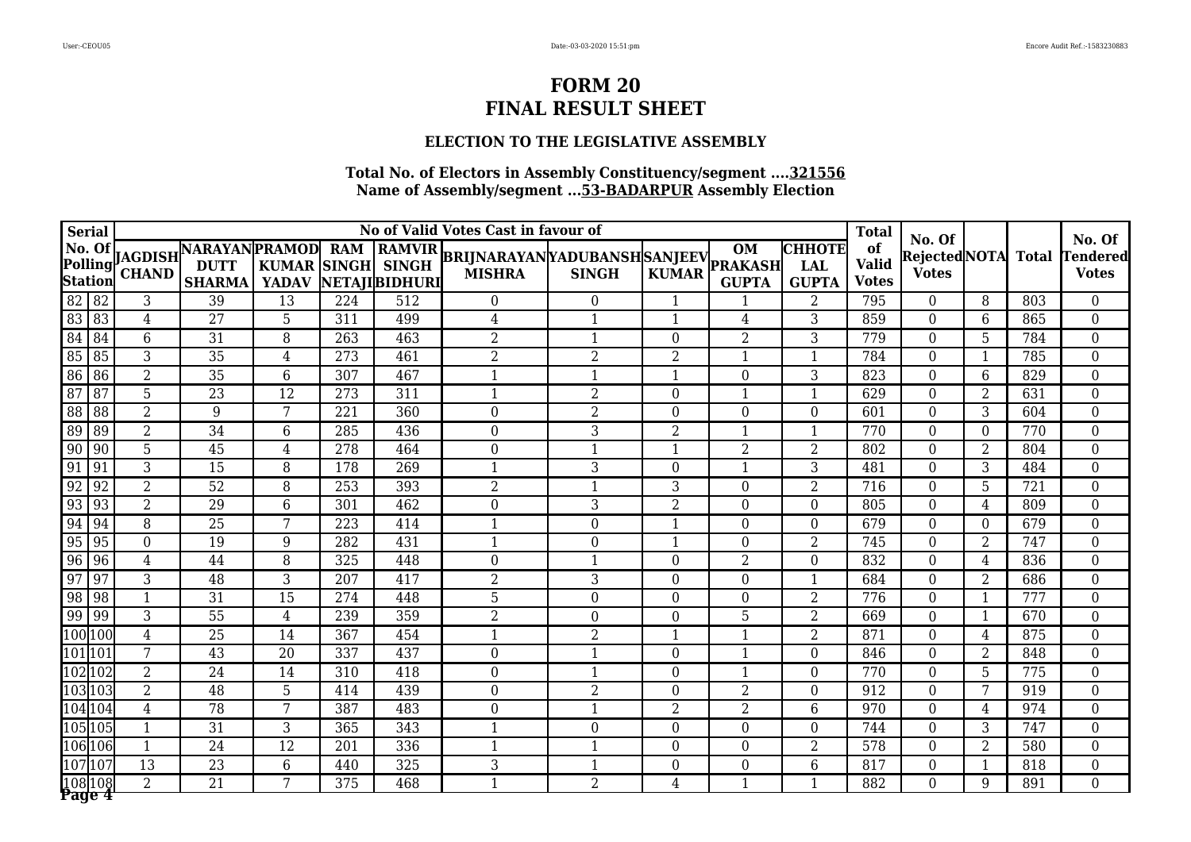### **ELECTION TO THE LEGISLATIVE ASSEMBLY**

|                    | <b>Serial</b>    |                |                                              |                 |                            |                  | No of Valid Votes Cast in favour of                          |                  |                |                                             |                                             | <b>Total</b>                       |                                        |                |              |                                           |
|--------------------|------------------|----------------|----------------------------------------------|-----------------|----------------------------|------------------|--------------------------------------------------------------|------------------|----------------|---------------------------------------------|---------------------------------------------|------------------------------------|----------------------------------------|----------------|--------------|-------------------------------------------|
|                    |                  |                | Polling TAGDISH NARAYAN PRAMOD Station CHAND |                 | <b>RAM</b><br><b>SINGH</b> | NETAJIBIDHURI    | <b>RAMVIR</b> BRIJNARAYAN YADUBANSH SANJEEV<br><b>MISHRA</b> | <b>SINGH</b>     | <b>KUMAR</b>   | <b>OM</b><br><b>PRAKASH</b><br><b>GUPTA</b> | <b>СННОТЕ</b><br><b>LAL</b><br><b>GUPTA</b> | of<br><b>Valid</b><br><b>Votes</b> | No. Of<br>RejectedNOTA<br><b>Votes</b> |                | <b>Total</b> | No. Of<br><b>Tendered</b><br><b>Votes</b> |
|                    | $82$ 82          | 3              | $\overline{39}$                              | $\overline{13}$ | 224                        | 512              | $\boldsymbol{0}$                                             | $\overline{0}$   |                |                                             | $\overline{2}$                              | 795                                | $\Omega$                               | 8              | 803          | $\overline{0}$                            |
|                    | 83 83            | $\overline{4}$ | $\overline{27}$                              | 5               | 311                        | 499              | $\overline{4}$                                               | $\mathbf{1}$     |                | $\overline{4}$                              | $\overline{3}$                              | 859                                | $\overline{0}$                         | 6              | 865          | $\overline{0}$                            |
| 84                 | 84               | $\overline{6}$ | 31                                           | 8               | 263                        | 463              | $\overline{2}$                                               | $\mathbf{1}$     | $\overline{0}$ | $\overline{2}$                              | $\overline{3}$                              | 779                                | $\Omega$                               | 5              | 784          | $\overline{0}$                            |
|                    | 85 85            | $\overline{3}$ | 35                                           | 4               | 273                        | 461              | 2                                                            | 2                | $\overline{2}$ |                                             | $\mathbf{1}$                                | 784                                | $\Omega$                               |                | 785          | $\overline{0}$                            |
|                    | 86 86            | $\overline{2}$ | 35                                           | 6               | 307                        | 467              | $\mathbf{1}$                                                 | 1                |                | $\theta$                                    | 3                                           | 823                                | $\Omega$                               | 6              | 829          | $\boldsymbol{0}$                          |
| 87                 | 87               | $\overline{5}$ | $\overline{23}$                              | $\overline{12}$ | 273                        | 311              | $\mathbf{1}$                                                 | $\overline{2}$   | $\Omega$       | $\mathbf{1}$                                | $\overline{1}$                              | 629                                | $\Omega$                               | $\overline{2}$ | 631          | $\overline{0}$                            |
|                    | 88 88            | $\overline{2}$ | 9                                            | 7               | 221                        | 360              | $\boldsymbol{0}$                                             | $\overline{2}$   | $\Omega$       | $\mathbf{0}$                                | $\boldsymbol{0}$                            | 601                                | $\Omega$                               | 3              | 604          | $\overline{0}$                            |
|                    | $89$ 89          | $\overline{2}$ | 34                                           | 6               | 285                        | 436              | $\boldsymbol{0}$                                             | 3                | 2              | -1                                          | $\mathbf{1}$                                | 770                                | $\Omega$                               | $\Omega$       | 770          | $\overline{0}$                            |
| 90 90              |                  | $\overline{5}$ | $\overline{45}$                              | $\overline{4}$  | $\overline{278}$           | 464              | $\boldsymbol{0}$                                             | $\mathbf{1}$     | 1              | $\overline{2}$                              | $\overline{2}$                              | 802                                | $\Omega$                               | $\overline{2}$ | 804          | $\overline{0}$                            |
| $\overline{91}$ 91 |                  | 3              | 15                                           | 8               | 178                        | 269              | $\mathbf{1}$                                                 | 3                | $\overline{0}$ | $\mathbf{1}$                                | 3                                           | 481                                | $\overline{0}$                         | 3              | 484          | $\overline{0}$                            |
| 92                 | $\sqrt{92}$      | $\overline{2}$ | 52                                           | 8               | 253                        | 393              | $\overline{2}$                                               | $\mathbf{1}$     | 3              | $\mathbf{0}$                                | $\overline{2}$                              | 716                                | $\overline{0}$                         | 5              | 721          | $\overline{0}$                            |
|                    | 93 93            | $\overline{2}$ | $\overline{29}$                              | 6               | 301                        | 462              | $\boldsymbol{0}$                                             | 3                | $\overline{2}$ | $\Omega$                                    | $\boldsymbol{0}$                            | 805                                | $\Omega$                               | 4              | 809          | $\overline{0}$                            |
| 94                 | 94               | 8              | $\overline{25}$                              | 7               | 223                        | 414              | $\mathbf{1}$                                                 | $\overline{0}$   |                | $\mathbf{0}$                                | $\boldsymbol{0}$                            | 679                                | $\Omega$                               | $\theta$       | 679          | $\overline{0}$                            |
| 95                 | 95               | $\overline{0}$ | 19                                           | 9               | 282                        | 431              | $\mathbf{1}$                                                 | $\theta$         | 1              | $\theta$                                    | 2                                           | 745                                | $\Omega$                               | $\overline{2}$ | 747          | $\overline{0}$                            |
|                    | $96 \mid 96$     | $\overline{4}$ | 44                                           | 8               | 325                        | 448              | $\boldsymbol{0}$                                             | 1                | $\Omega$       | $\overline{2}$                              | $\boldsymbol{0}$                            | 832                                | $\Omega$                               | 4              | 836          | $\overline{0}$                            |
| $\overline{97}$    | 97               | 3              | 48                                           | 3               | 207                        | 417              | 2                                                            | 3                | $\Omega$       | $\theta$                                    | $\mathbf 1$                                 | 684                                | $\Omega$                               | $\overline{2}$ | 686          | $\boldsymbol{0}$                          |
|                    | 98 98            | $\mathbf{1}$   | $\overline{31}$                              | $\overline{15}$ | 274                        | 448              | $\overline{5}$                                               | $\overline{0}$   | $\Omega$       | $\mathbf{0}$                                | $\overline{2}$                              | 776                                | $\overline{0}$                         |                | 777          | $\overline{0}$                            |
|                    | 99 99            | $\overline{3}$ | $\overline{55}$                              | $\overline{4}$  | 239                        | 359              | 2                                                            | $\boldsymbol{0}$ | $\overline{0}$ | 5                                           | $\overline{2}$                              | 669                                | $\overline{0}$                         | $\mathbf{1}$   | 670          | $\overline{0}$                            |
|                    | 100100           | $\overline{4}$ | $\overline{25}$                              | 14              | 367                        | 454              | $\mathbf{1}$                                                 | $\overline{2}$   |                |                                             | $\overline{2}$                              | 871                                | $\Omega$                               | $\overline{4}$ | 875          | $\overline{0}$                            |
|                    | 101101           | 7              | 43                                           | $\overline{20}$ | 337                        | 437              | $\boldsymbol{0}$                                             | 1                | $\Omega$       |                                             | $\boldsymbol{0}$                            | 846                                | $\Omega$                               | $\overline{2}$ | 848          | $\overline{0}$                            |
|                    | 102 102          | $\overline{2}$ | $\overline{24}$                              | $\overline{14}$ | 310                        | 418              | $\boldsymbol{0}$                                             | $\mathbf{1}$     | $\overline{0}$ | $\mathbf{1}$                                | $\boldsymbol{0}$                            | 770                                | $\Omega$                               | 5              | 775          | $\overline{0}$                            |
|                    | 103103           | $\overline{2}$ | 48                                           | 5               | 414                        | 439              | $\boldsymbol{0}$                                             | $\overline{2}$   | $\theta$       | $\overline{2}$                              | $\boldsymbol{0}$                            | 912                                | $\Omega$                               | 7              | 919          | $\overline{0}$                            |
|                    | 104 104          | $\overline{4}$ | $\overline{78}$                              | 7               | 387                        | 483              | $\overline{0}$                                               | 1                | 2              | $\overline{2}$                              | 6                                           | 970                                | $\Omega$                               | $\overline{4}$ | 974          | $\overline{0}$                            |
|                    | 105 105          | 1              | $\overline{31}$                              | 3               | 365                        | $\overline{343}$ | $\mathbf{1}$                                                 | $\overline{0}$   | $\Omega$       | $\mathbf{0}$                                | $\overline{0}$                              | 744                                | $\Omega$                               | 3              | 747          | $\overline{0}$                            |
|                    | 106 106          | $\mathbf{1}$   | $\overline{24}$                              | $\overline{12}$ | 201                        | 336              | $\mathbf{1}$                                                 | $\mathbf{1}$     | $\overline{0}$ | $\mathbf{0}$                                | $\overline{2}$                              | 578                                | $\overline{0}$                         | $\overline{2}$ | 580          | $\overline{0}$                            |
|                    | 107107           | 13             | $\overline{23}$                              | 6               | 440                        | 325              | 3                                                            | $\mathbf{1}$     | $\overline{0}$ | $\boldsymbol{0}$                            | 6                                           | 817                                | $\Omega$                               | $\mathbf{1}$   | 818          | $\overline{0}$                            |
|                    | 108108<br>Page 4 | $\overline{2}$ | 21                                           | 7               | 375                        | 468              | $\mathbf{1}$                                                 | $\overline{2}$   | 4              | $\mathbf{1}$                                | $\mathbf{1}$                                | 882                                | $\Omega$                               | 9              | 891          | $\overline{0}$                            |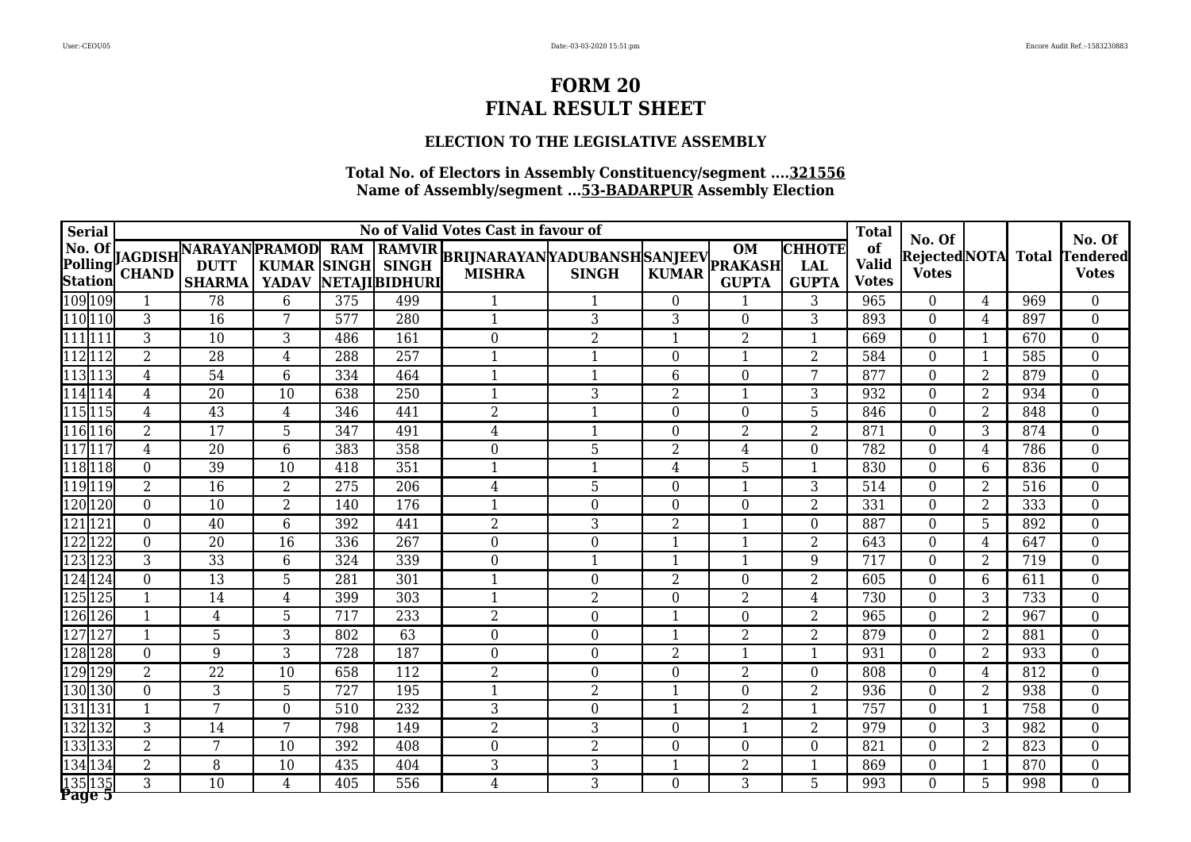### **ELECTION TO THE LEGISLATIVE ASSEMBLY**

| <b>Serial</b>                     |                  |                                         |                |                            |                  | No of Valid Votes Cast in favour of                   |                  |                |                                             |                                             | <b>Total</b>                       | No. Of                       |                 |              | No. Of                          |
|-----------------------------------|------------------|-----------------------------------------|----------------|----------------------------|------------------|-------------------------------------------------------|------------------|----------------|---------------------------------------------|---------------------------------------------|------------------------------------|------------------------------|-----------------|--------------|---------------------------------|
|                                   |                  | Polling TAGDISH NARAYAN PRAMOD Exterior |                | <b>RAM</b><br><b>SINGH</b> | NETAJIBIDHURI    | RAMVIR BRIJNARAYAN YADUBANSH SANJEEV<br><b>MISHRA</b> | <b>SINGH</b>     | <b>KUMAR</b>   | <b>OM</b><br><b>PRAKASH</b><br><b>GUPTA</b> | <b>СННОТЕ</b><br><b>LAL</b><br><b>GUPTA</b> | of<br><b>Valid</b><br><b>Votes</b> | RejectedNOTA<br><b>Votes</b> |                 | <b>Total</b> | <b>Tendered</b><br><b>Votes</b> |
| 109 109                           | $\mathbf{1}$     | 78                                      | 6              | 375                        | 499              | $\mathbf{1}$                                          | $\mathbf{1}$     | $\overline{0}$ | $\mathbf{1}$                                | $\overline{3}$                              | 965                                | $\overline{0}$               | 4               | 969          | $\overline{0}$                  |
| 110 110                           | 3                | $\overline{16}$                         | 7              | 577                        | 280              | $\mathbf{1}$                                          | 3                | 3              | $\boldsymbol{0}$                            | 3                                           | 893                                | $\overline{0}$               | 4               | 897          | $\overline{0}$                  |
| $\overline{111}$ $\overline{111}$ | $\overline{3}$   | 10                                      | 3              | 486                        | 161              | $\boldsymbol{0}$                                      | $\overline{2}$   | $\mathbf{1}$   | $\overline{2}$                              | $\mathbf{1}$                                | 669                                | $\overline{0}$               | $\mathbf{1}$    | 670          | $\overline{0}$                  |
| $\overline{112}$ 112              | $\overline{2}$   | 28                                      | 4              | 288                        | 257              | $\mathbf{1}$                                          | 1                | $\Omega$       | $\overline{\mathbf{1}}$                     | $\overline{2}$                              | 584                                | $\overline{0}$               | $\mathbf{1}$    | 585          | $\boldsymbol{0}$                |
| 113113                            | $\overline{4}$   | 54                                      | 6              | 334                        | 464              | $\mathbf{1}$                                          | 1                | 6              | $\boldsymbol{0}$                            | 7                                           | 877                                | $\theta$                     | $\overline{2}$  | 879          | $\overline{0}$                  |
| 114114                            | $\overline{4}$   | 20                                      | 10             | 638                        | 250              | $\mathbf{1}$                                          | 3                | $\overline{2}$ | -1                                          | 3                                           | 932                                | $\theta$                     | $\overline{2}$  | 934          | $\overline{0}$                  |
| 115 115                           | $\overline{4}$   | 43                                      | 4              | 346                        | 441              | $\overline{2}$                                        | $\mathbf{1}$     | $\Omega$       | $\mathbf{0}$                                | $\overline{5}$                              | 846                                | $\Omega$                     | $\overline{2}$  | 848          | $\overline{0}$                  |
| 116116                            | $\overline{2}$   | $\overline{17}$                         | 5              | 347                        | 491              | 4                                                     | 1                | $\Omega$       | $\overline{2}$                              | $\overline{2}$                              | 871                                | $\Omega$                     | 3               | 874          | $\boldsymbol{0}$                |
| $\overline{117}117$               | $\overline{4}$   | $\overline{20}$                         | 6              | 383                        | 358              | $\boldsymbol{0}$                                      | 5                | $\overline{2}$ | $\overline{4}$                              | $\boldsymbol{0}$                            | 782                                | $\Omega$                     | $\overline{4}$  | 786          | $\overline{0}$                  |
| 118 118                           | $\boldsymbol{0}$ | 39                                      | 10             | 418                        | 351              | $\mathbf{1}$                                          | $\mathbf 1$      | 4              | 5                                           | $\mathbf{1}$                                | 830                                | $\Omega$                     | $6\phantom{1}6$ | 836          | $\overline{0}$                  |
| 119 119                           | $\overline{2}$   | $\overline{16}$                         | $\overline{2}$ | $\overline{275}$           | $\overline{206}$ | $\overline{4}$                                        | 5                | $\Omega$       |                                             | $\overline{3}$                              | 514                                | $\Omega$                     | $\overline{2}$  | 516          | $\overline{0}$                  |
| 120 120                           | $\overline{0}$   | $\overline{10}$                         | $\overline{2}$ | 140                        | 176              | $\mathbf{1}$                                          | $\overline{0}$   | $\Omega$       | $\mathbf{0}$                                | $\overline{2}$                              | 331                                | $\Omega$                     | $\overline{2}$  | 333          | $\overline{0}$                  |
| 121121                            | $\boldsymbol{0}$ | 40                                      | 6              | 392                        | 441              | $\overline{2}$                                        | $\overline{3}$   | $\overline{2}$ | $\mathbf{1}$                                | $\boldsymbol{0}$                            | 887                                | $\overline{0}$               | 5               | 892          | $\boldsymbol{0}$                |
| 122122                            | $\overline{0}$   | 20                                      | 16             | 336                        | 267              | $\boldsymbol{0}$                                      | $\boldsymbol{0}$ | $\mathbf{1}$   | $\mathbf{1}$                                | $\overline{2}$                              | 643                                | $\overline{0}$               | $\overline{4}$  | 647          | $\overline{0}$                  |
| 123 123                           | $\overline{3}$   | $\overline{33}$                         | 6              | 324                        | 339              | $\boldsymbol{0}$                                      | 1                |                |                                             | 9                                           | 717                                | $\overline{0}$               | $\overline{2}$  | 719          | $\boldsymbol{0}$                |
| 124 124                           | $\boldsymbol{0}$ | 13                                      | 5              | 281                        | 301              | 1                                                     | $\boldsymbol{0}$ | $\overline{2}$ | $\theta$                                    | $\overline{2}$                              | 605                                | $\Omega$                     | 6               | 611          | $\boldsymbol{0}$                |
| 125 125                           | 1                | 14                                      | 4              | 399                        | $\overline{303}$ | $\mathbf{1}$                                          | $\overline{2}$   | $\overline{0}$ | $\overline{2}$                              | $\overline{4}$                              | 730                                | $\Omega$                     | 3               | 733          | $\overline{0}$                  |
| 126 126                           | $\mathbf{1}$     | $\overline{4}$                          | 5              | 717                        | 233              | $\overline{2}$                                        | $\boldsymbol{0}$ | $\mathbf 1$    | $\boldsymbol{0}$                            | $\overline{2}$                              | 965                                | $\Omega$                     | $\overline{2}$  | 967          | $\overline{0}$                  |
| 127127                            | $\mathbf{1}$     | 5                                       | 3              | 802                        | 63               | $\boldsymbol{0}$                                      | $\overline{0}$   |                | $\overline{2}$                              | $\overline{2}$                              | 879                                | $\Omega$                     | $\overline{2}$  | 881          | $\overline{0}$                  |
| 128 128                           | $\overline{0}$   | 9                                       | 3              | 728                        | 187              | $\boldsymbol{0}$                                      | $\overline{0}$   | $\overline{2}$ | $\mathbf{1}$                                | $\mathbf{1}$                                | 931                                | $\Omega$                     | $\overline{2}$  | 933          | $\overline{0}$                  |
| 129 129                           | $\overline{2}$   | $\overline{22}$                         | 10             | 658                        | $\overline{112}$ | $\overline{2}$                                        | $\boldsymbol{0}$ | $\overline{0}$ | $\overline{2}$                              | $\boldsymbol{0}$                            | 808                                | $\overline{0}$               | 4               | 812          | $\overline{0}$                  |
| 130 130                           | $\overline{0}$   | 3                                       | 5              | 727                        | 195              | $\mathbf{1}$                                          | $\overline{2}$   | 1              | $\theta$                                    | $\overline{2}$                              | 936                                | $\theta$                     | $\overline{2}$  | 938          | $\overline{0}$                  |
| 131131                            | $\mathbf{1}$     | 7                                       | $\overline{0}$ | $\overline{510}$           | 232              | $\overline{3}$                                        | $\boldsymbol{0}$ |                | $\overline{2}$                              | $\overline{1}$                              | 757                                | $\overline{0}$               | -1              | 758          | $\overline{0}$                  |
| 132 132                           | 3                | 14                                      | 7              | 798                        | 149              | $\overline{2}$                                        | $\overline{3}$   | $\Omega$       | $\mathbf{1}$                                | $\overline{2}$                              | 979                                | $\Omega$                     | 3               | 982          | $\overline{0}$                  |
| 133133                            | $\overline{2}$   | 7                                       | 10             | 392                        | 408              | $\boldsymbol{0}$                                      | $\overline{2}$   | $\overline{0}$ | $\boldsymbol{0}$                            | $\boldsymbol{0}$                            | 821                                | $\overline{0}$               | $\overline{2}$  | 823          | $\overline{0}$                  |
| 134 134                           | $\overline{2}$   | 8                                       | 10             | 435                        | 404              | 3                                                     | 3                | 1              | $\overline{2}$                              | $\mathbf{1}$                                | 869                                | $\Omega$                     | $\mathbf{1}$    | 870          | $\overline{0}$                  |
| 135 135<br>Page 5                 | 3                | 10                                      | 4              | 405                        | 556              | 4                                                     | 3                | $\Omega$       | 3                                           | 5                                           | 993                                | $\Omega$                     | 5               | 998          | $\overline{0}$                  |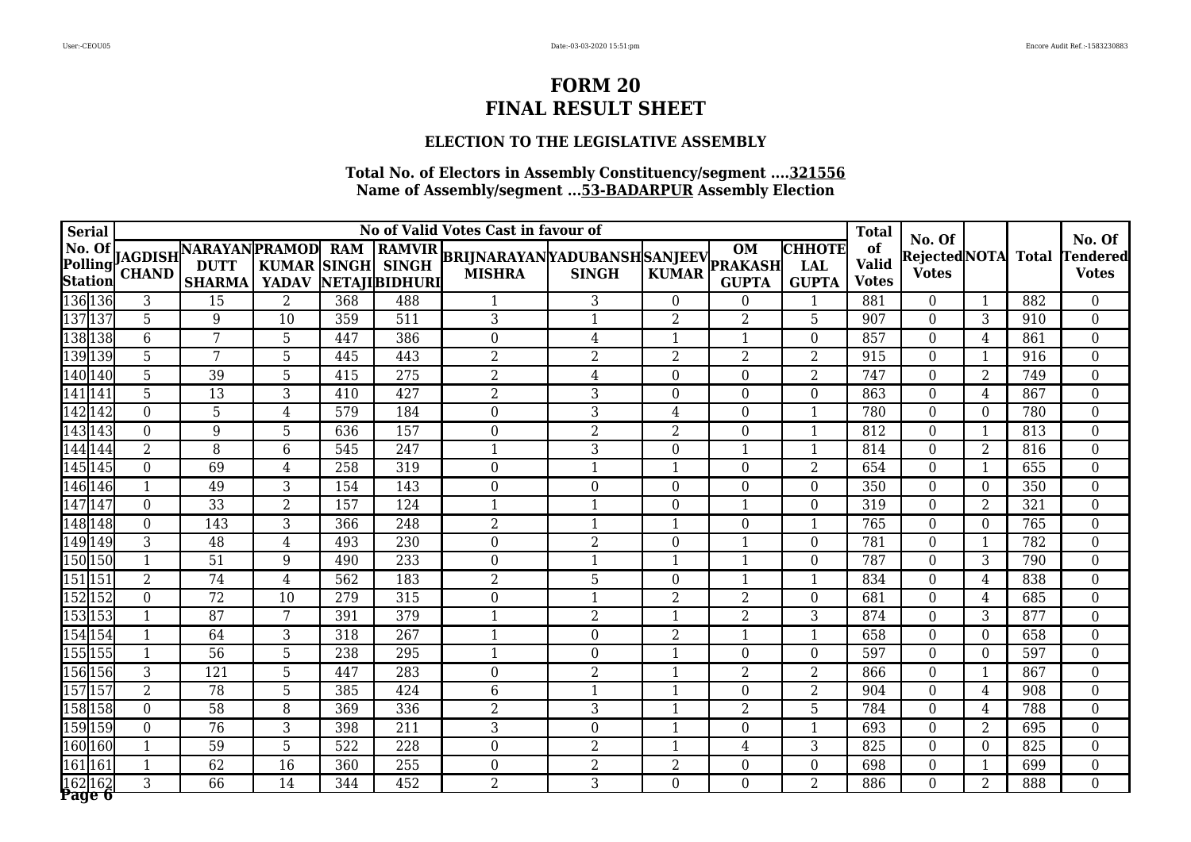### **ELECTION TO THE LEGISLATIVE ASSEMBLY**

| <b>Serial</b>     |                  |                                               |                 |                            |                  | No of Valid Votes Cast in favour of                          |                  |                |                                             |                                             | <b>Total</b>                       |                                        |                  |                  |                                           |
|-------------------|------------------|-----------------------------------------------|-----------------|----------------------------|------------------|--------------------------------------------------------------|------------------|----------------|---------------------------------------------|---------------------------------------------|------------------------------------|----------------------------------------|------------------|------------------|-------------------------------------------|
|                   |                  | Polling JAGDISH NARAYAN PRAMOD ESTATION CHAND |                 | <b>RAM</b><br><b>SINGH</b> | NETAJIBIDHURI    | <b>RAMVIR</b> BRIJNARAYAN YADUBANSH SANJEEV<br><b>MISHRA</b> | <b>SINGH</b>     | <b>KUMAR</b>   | <b>OM</b><br><b>PRAKASH</b><br><b>GUPTA</b> | <b>СННОТЕ</b><br><b>LAL</b><br><b>GUPTA</b> | of<br><b>Valid</b><br><b>Votes</b> | No. Of<br>RejectedNOTA<br><b>Votes</b> |                  | <b>Total</b>     | No. Of<br><b>Tendered</b><br><b>Votes</b> |
| 136 136           | 3                | $\overline{15}$                               | $\overline{2}$  | 368                        | 488              | $\mathbf 1$                                                  | $\overline{3}$   | $\Omega$       | $\overline{0}$                              | $\mathbf{1}$                                | 881                                | $\Omega$                               |                  | 882              | $\overline{0}$                            |
| 137 137           | $\overline{5}$   | 9                                             | $\overline{10}$ | 359                        | 511              | $\overline{3}$                                               | $\mathbf{1}$     | $\overline{2}$ | $\overline{2}$                              | 5                                           | 907                                | $\overline{0}$                         | 3                | 910              | $\overline{0}$                            |
| 138 138           | $\overline{6}$   | $\overline{7}$                                | 5               | 447                        | 386              | $\boldsymbol{0}$                                             | $\overline{4}$   | $\mathbf{1}$   | $\overline{1}$                              | $\boldsymbol{0}$                            | 857                                | $\Omega$                               | $\overline{4}$   | 861              | $\overline{0}$                            |
| 139 139           | $\overline{5}$   | 7                                             | 5               | 445                        | 443              | 2                                                            | 2                | $\overline{2}$ | $\overline{2}$                              | $\overline{2}$                              | 915                                | $\Omega$                               | $\mathbf{1}$     | 916              | $\overline{0}$                            |
| 140 140           | 5                | 39                                            | 5               | 415                        | 275              | 2                                                            | 4                | $\Omega$       | $\theta$                                    | $\overline{2}$                              | 747                                | $\Omega$                               | $\overline{2}$   | 749              | $\boldsymbol{0}$                          |
| 141141            | $\overline{5}$   | $\overline{13}$                               | 3               | 410                        | 427              | 2                                                            | 3                | $\overline{0}$ | $\theta$                                    | $\boldsymbol{0}$                            | 863                                | $\Omega$                               | $\overline{4}$   | 867              | $\overline{0}$                            |
| 142 142           | $\overline{0}$   | 5                                             | 4               | 579                        | 184              | $\boldsymbol{0}$                                             | 3                | 4              | $\theta$                                    | $\mathbf{1}$                                | 780                                | $\Omega$                               | $\boldsymbol{0}$ | 780              | $\overline{0}$                            |
| 143143            | $\overline{0}$   | 9                                             | 5               | 636                        | 157              | $\boldsymbol{0}$                                             | $\overline{2}$   | 2              | $\mathbf{0}$                                | $\mathbf{1}$                                | 812                                | $\Omega$                               | -1               | 813              | $\overline{0}$                            |
| 144 144           | $\overline{2}$   | 8                                             | 6               | 545                        | $\overline{247}$ | $\mathbf{1}$                                                 | $\overline{3}$   | $\overline{0}$ | $\mathbf{1}$                                | $\mathbf{1}$                                | 814                                | $\overline{0}$                         | $\overline{2}$   | 816              | $\overline{0}$                            |
| 145 145           | $\boldsymbol{0}$ | 69                                            | 4               | 258                        | 319              | $\boldsymbol{0}$                                             | $\mathbf{1}$     | 1              | $\boldsymbol{0}$                            | $\boldsymbol{2}$                            | 654                                | $\overline{0}$                         | $\mathbf{1}$     | 655              | $\overline{0}$                            |
| 146 146           | $\mathbf{1}$     | 49                                            | 3               | 154                        | 143              | $\boldsymbol{0}$                                             | $\boldsymbol{0}$ | $\Omega$       | $\mathbf{0}$                                | $\boldsymbol{0}$                            | 350                                | $\overline{0}$                         | $\boldsymbol{0}$ | 350              | $\overline{0}$                            |
| 147 147           | $\overline{0}$   | $\overline{33}$                               | $\overline{2}$  | 157                        | 124              | $\mathbf{1}$                                                 | 1                | $\Omega$       |                                             | $\boldsymbol{0}$                            | 319                                | $\Omega$                               | $\overline{2}$   | $\overline{321}$ | $\boldsymbol{0}$                          |
| 148 148           | $\boldsymbol{0}$ | 143                                           | 3               | 366                        | $\overline{248}$ | $\overline{2}$                                               | 1                |                | $\mathbf{0}$                                | $\mathbf{1}$                                | 765                                | $\Omega$                               | $\theta$         | 765              | $\overline{0}$                            |
| 149 149           | $\overline{3}$   | 48                                            | 4               | 493                        | 230              | $\boldsymbol{0}$                                             | $\overline{2}$   | $\Omega$       | -1                                          | $\boldsymbol{0}$                            | 781                                | $\Omega$                               | -1               | 782              | $\overline{0}$                            |
| 150 150           | $\mathbf{1}$     | $\overline{51}$                               | 9               | 490                        | 233              | $\boldsymbol{0}$                                             | 1                |                | $\mathbf{1}$                                | $\boldsymbol{0}$                            | 787                                | $\Omega$                               | $\overline{3}$   | 790              | $\overline{0}$                            |
| 151151            | $\overline{2}$   | 74                                            | 4               | 562                        | 183              | $\overline{2}$                                               | 5                | $\Omega$       |                                             | 1                                           | 834                                | $\Omega$                               | 4                | 838              | $\boldsymbol{0}$                          |
| 152 152           | $\overline{0}$   | $\overline{72}$                               | $\overline{10}$ | $\overline{279}$           | 315              | $\overline{0}$                                               | $\mathbf{1}$     | $\overline{2}$ | $\overline{2}$                              | $\boldsymbol{0}$                            | 681                                | $\Omega$                               | $\overline{4}$   | 685              | $\overline{0}$                            |
| 153 153           | $\mathbf{1}$     | 87                                            | 7               | 391                        | 379              | $\mathbf{1}$                                                 | $\overline{2}$   | -1             | $\overline{2}$                              | 3                                           | 874                                | $\overline{0}$                         | 3                | 877              | $\overline{0}$                            |
| 154 154           | $\mathbf{1}$     | 64                                            | 3               | 318                        | 267              | $\mathbf{1}$                                                 | $\overline{0}$   | 2              |                                             | $\mathbf{1}$                                | 658                                | $\Omega$                               | $\Omega$         | 658              | $\overline{0}$                            |
| 155 155           | 1                | $\overline{56}$                               | 5               | 238                        | 295              | 1                                                            | $\theta$         |                | $\Omega$                                    | $\boldsymbol{0}$                            | 597                                | $\Omega$                               | $\Omega$         | 597              | $\overline{0}$                            |
| 156 156           | 3                | 121                                           | 5               | 447                        | 283              | $\boldsymbol{0}$                                             | $\overline{2}$   | 1              | $\overline{2}$                              | $\overline{2}$                              | 866                                | $\Omega$                               |                  | 867              | $\overline{0}$                            |
| 157 157           | $\overline{2}$   | 78                                            | 5               | 385                        | 424              | $\,6\,$                                                      | $\mathbf{1}$     | -1             | $\theta$                                    | $\overline{2}$                              | 904                                | $\Omega$                               | $\overline{4}$   | 908              | $\overline{0}$                            |
| 158 158           | $\overline{0}$   | $\overline{58}$                               | 8               | $\overline{369}$           | 336              | $\overline{2}$                                               | $\overline{3}$   |                | $\overline{2}$                              | $\overline{5}$                              | 784                                | $\Omega$                               | 4                | 788              | $\overline{0}$                            |
| 159 159           | $\overline{0}$   | $\overline{76}$                               | 3               | $\overline{398}$           | 211              | $\overline{3}$                                               | $\overline{0}$   |                | $\mathbf{0}$                                | $\mathbf{1}$                                | 693                                | $\Omega$                               | $\overline{2}$   | 695              | $\overline{0}$                            |
| 160 160           | $\mathbf{1}$     | 59                                            | 5               | 522                        | $\overline{228}$ | $\boldsymbol{0}$                                             | $\overline{2}$   | $\mathbf{1}$   | $\overline{4}$                              | 3                                           | 825                                | $\overline{0}$                         | $\boldsymbol{0}$ | 825              | $\overline{0}$                            |
| 161161            | $\mathbf{1}$     | 62                                            | 16              | 360                        | 255              | $\boldsymbol{0}$                                             | 2                | $\overline{2}$ | $\boldsymbol{0}$                            | $\boldsymbol{0}$                            | 698                                | $\Omega$                               | $\mathbf{1}$     | 699              | $\overline{0}$                            |
| 162 162<br>Page 6 | 3                | 66                                            | 14              | 344                        | 452              | $\overline{2}$                                               | 3                | $\Omega$       | $\Omega$                                    | 2                                           | 886                                | $\Omega$                               | 2                | 888              | $\overline{0}$                            |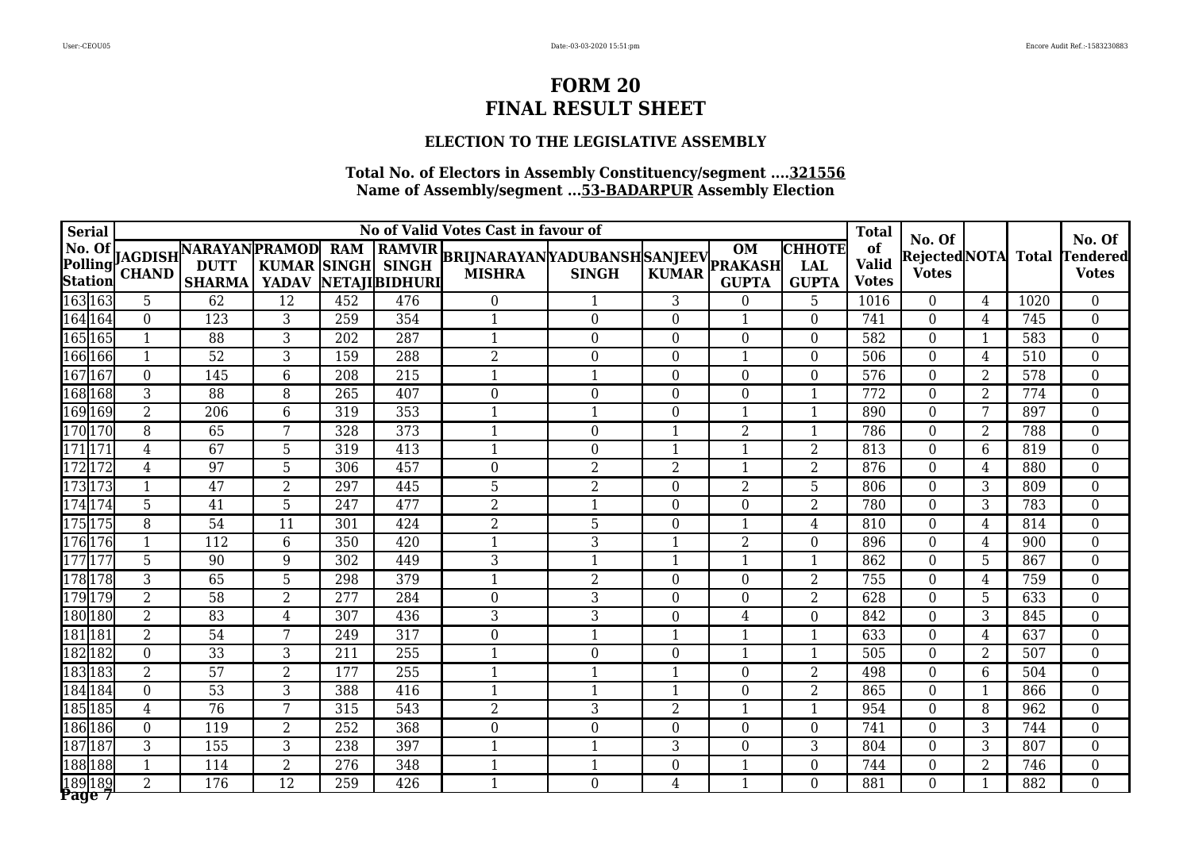### **ELECTION TO THE LEGISLATIVE ASSEMBLY**

|        | <b>Serial</b>  |                  |                                                 |                 |                            |                  | No of Valid Votes Cast in favour of                   |                  |                |                                             |                                             | <b>Total</b>                       | No. Of                       |                |              | No. Of                          |
|--------|----------------|------------------|-------------------------------------------------|-----------------|----------------------------|------------------|-------------------------------------------------------|------------------|----------------|---------------------------------------------|---------------------------------------------|------------------------------------|------------------------------|----------------|--------------|---------------------------------|
|        | <b>Station</b> | <b>CHAND</b>     | Polling JAGDISH NARAYAN PRAMOD<br><b>SHARMA</b> | <b>YADAV</b>    | <b>RAM</b><br><b>SINGH</b> | NETAJI  BIDHURI  | RAMVIR BRIJNARAYAN YADUBANSH SANJEEV<br><b>MISHRA</b> | <b>SINGH</b>     | <b>KUMAR</b>   | <b>OM</b><br><b>PRAKASH</b><br><b>GUPTA</b> | <b>СННОТЕ</b><br><b>LAL</b><br><b>GUPTA</b> | of<br><b>Valid</b><br><b>Votes</b> | RejectedNOTA<br><b>Votes</b> |                | <b>Total</b> | <b>Tendered</b><br><b>Votes</b> |
|        | 163 163        | 5                | 62                                              | $\overline{12}$ | 452                        | 476              | $\Omega$                                              | $\mathbf{1}$     | 3              | $\mathbf{0}$                                | 5                                           | 1016                               | $\overline{0}$               | 4              | 1020         | $\overline{0}$                  |
|        | 164 164        | $\boldsymbol{0}$ | $\overline{123}$                                | 3               | 259                        | 354              | $\mathbf{1}$                                          | $\boldsymbol{0}$ | $\overline{0}$ | $\mathbf{1}$                                | $\boldsymbol{0}$                            | 741                                | $\overline{0}$               | 4              | 745          | $\overline{0}$                  |
|        | 165 165        | $\mathbf{1}$     | 88                                              | $\overline{3}$  | 202                        | 287              | $\mathbf{1}$                                          | $\boldsymbol{0}$ | $\overline{0}$ | $\mathbf{0}$                                | $\boldsymbol{0}$                            | 582                                | $\overline{0}$               | 1              | 583          | $\overline{0}$                  |
|        | 166 166        | $\mathbf{1}$     | 52                                              | 3               | 159                        | 288              | $\overline{2}$                                        | $\boldsymbol{0}$ | $\Omega$       | $\overline{\mathbf{1}}$                     | $\boldsymbol{0}$                            | 506                                | $\Omega$                     | 4              | 510          | $\boldsymbol{0}$                |
|        | 167167         | $\overline{0}$   | 145                                             | 6               | 208                        | 215              | $\mathbf{1}$                                          | 1                | $\theta$       | $\theta$                                    | $\boldsymbol{0}$                            | 576                                | $\theta$                     | $\overline{2}$ | 578          | $\overline{0}$                  |
|        | 168 168        | 3                | 88                                              | 8               | 265                        | 407              | $\boldsymbol{0}$                                      | $\mathbf 0$      | $\theta$       | $\theta$                                    | $\mathbf{1}$                                | 772                                | $\theta$                     | $\overline{2}$ | 774          | $\overline{0}$                  |
|        | 169 169        | $\overline{2}$   | 206                                             | 6               | 319                        | 353              | $\mathbf{1}$                                          | $\mathbf{1}$     | $\Omega$       | -1                                          | $\mathbf{1}$                                | 890                                | $\Omega$                     | 7              | 897          | $\overline{0}$                  |
|        | 170170         | 8                | 65                                              | 7               | 328                        | 373              | $\mathbf{1}$                                          | $\Omega$         |                | $\overline{2}$                              | $\mathbf 1$                                 | 786                                | $\Omega$                     | $\overline{2}$ | 788          | $\boldsymbol{0}$                |
|        | 171171         | $\overline{4}$   | 67                                              | 5               | 319                        | $\overline{413}$ | $\mathbf{1}$                                          | $\overline{0}$   |                | $\mathbf{1}$                                | $\overline{2}$                              | 813                                | $\Omega$                     | 6              | 819          | $\overline{0}$                  |
|        | 172 172        | $\overline{4}$   | 97                                              | 5               | 306                        | 457              | $\boldsymbol{0}$                                      | $\overline{2}$   | $\overline{2}$ | 1                                           | $\overline{2}$                              | 876                                | $\Omega$                     | 4              | 880          | $\overline{0}$                  |
|        | 173173         | $\mathbf{1}$     | 47                                              | $\overline{2}$  | 297                        | 445              | $\overline{5}$                                        | $\overline{2}$   | $\Omega$       | $\overline{2}$                              | $\overline{5}$                              | 806                                | $\Omega$                     | 3              | 809          | $\overline{0}$                  |
|        | 174174         | $\overline{5}$   | 41                                              | $\overline{5}$  | 247                        | 477              | $\overline{2}$                                        |                  | $\Omega$       | $\mathbf{0}$                                | $\overline{2}$                              | 780                                | $\Omega$                     | 3              | 783          | $\overline{0}$                  |
|        | 175175         | $\overline{8}$   | 54                                              | $\overline{11}$ | 301                        | 424              | $\overline{2}$                                        | 5                | $\Omega$       | $\mathbf{1}$                                | 4                                           | 810                                | $\overline{0}$               | $\overline{4}$ | 814          | $\overline{0}$                  |
|        | 176 176        | $\mathbf{1}$     | 112                                             | 6               | 350                        | 420              | $\mathbf{1}$                                          | 3                | $\mathbf{1}$   | $\overline{2}$                              | $\boldsymbol{0}$                            | 896                                | $\Omega$                     | $\overline{4}$ | 900          | $\overline{0}$                  |
|        | 177177         | $\overline{5}$   | 90                                              | 9               | 302                        | 449              | $\overline{3}$                                        | $\mathbf{1}$     |                |                                             | $\mathbf{1}$                                | 862                                | $\overline{0}$               | 5              | 867          | $\boldsymbol{0}$                |
|        | 178 178        | 3                | 65                                              | 5               | 298                        | 379              | $\mathbf{1}$                                          | $\overline{2}$   | $\Omega$       | $\theta$                                    | $\overline{2}$                              | 755                                | $\Omega$                     | 4              | 759          | $\boldsymbol{0}$                |
|        | 179179         | $\overline{2}$   | $\overline{58}$                                 | 2               | $\overline{277}$           | 284              | $\boldsymbol{0}$                                      | 3                | $\Omega$       | $\mathbf{0}$                                | $\overline{2}$                              | 628                                | $\Omega$                     | 5              | 633          | $\overline{0}$                  |
|        | 180 180        | $\overline{2}$   | 83                                              | 4               | $\overline{307}$           | 436              | $\overline{3}$                                        | 3                | $\Omega$       | 4                                           | $\boldsymbol{0}$                            | 842                                | $\Omega$                     | 3              | 845          | $\overline{0}$                  |
|        | 181181         | $\overline{2}$   | 54                                              | 7               | 249                        | 317              | $\boldsymbol{0}$                                      | 1                |                |                                             | $\mathbf{1}$                                | 633                                | $\Omega$                     | 4              | 637          | $\overline{0}$                  |
|        | 182 182        | $\overline{0}$   | $\overline{33}$                                 | 3               | 211                        | $\overline{255}$ | $\mathbf{1}$                                          | $\overline{0}$   | $\Omega$       | $\mathbf{1}$                                | $\mathbf{1}$                                | 505                                | $\Omega$                     | $\overline{2}$ | 507          | $\overline{0}$                  |
|        | 183183         | $\overline{2}$   | $\overline{57}$                                 | 2               | 177                        | $\overline{255}$ | $\mathbf{1}$                                          | $\mathbf{1}$     | 1              | $\mathbf{0}$                                | $\overline{2}$                              | 498                                | $\overline{0}$               | 6              | 504          | $\overline{0}$                  |
|        | 184 184        | $\overline{0}$   | $\overline{53}$                                 | 3               | 388                        | 416              | $\mathbf{1}$                                          | 1                | 1              | $\theta$                                    | $\overline{2}$                              | 865                                | $\theta$                     | 1              | 866          | $\overline{0}$                  |
|        | 185 185        | $\overline{4}$   | $\overline{76}$                                 | 7               | 315                        | $\overline{543}$ | $\overline{2}$                                        | $\overline{3}$   | $\overline{2}$ | -1                                          | $\overline{1}$                              | 954                                | $\overline{0}$               | 8              | 962          | $\overline{0}$                  |
|        | 186 186        | $\boldsymbol{0}$ | 119                                             | $\overline{2}$  | $\overline{252}$           | 368              | $\boldsymbol{0}$                                      | $\boldsymbol{0}$ | $\Omega$       | $\mathbf{0}$                                | $\boldsymbol{0}$                            | 741                                | $\Omega$                     | 3              | 744          | $\overline{0}$                  |
|        | 187187         | 3                | 155                                             | 3               | 238                        | 397              | $\mathbf{1}$                                          | $\mathbf{1}$     | 3              | $\mathbf{0}$                                | 3                                           | 804                                | $\overline{0}$               | 3              | 807          | $\overline{0}$                  |
|        | 188 188        | $\mathbf{1}$     | 114                                             | $\overline{2}$  | 276                        | 348              | $\mathbf{1}$                                          | $\mathbf{1}$     | $\overline{0}$ | $\mathbf{1}$                                | $\boldsymbol{0}$                            | 744                                | $\Omega$                     | $\overline{2}$ | 746          | $\overline{0}$                  |
| Page 7 | 189 189        | $\overline{2}$   | 176                                             | $\overline{12}$ | 259                        | 426              | $\mathbf{1}$                                          | $\overline{0}$   | 4              | $\mathbf{1}$                                | $\mathbf{0}$                                | 881                                | $\Omega$                     | -1             | 882          | $\overline{0}$                  |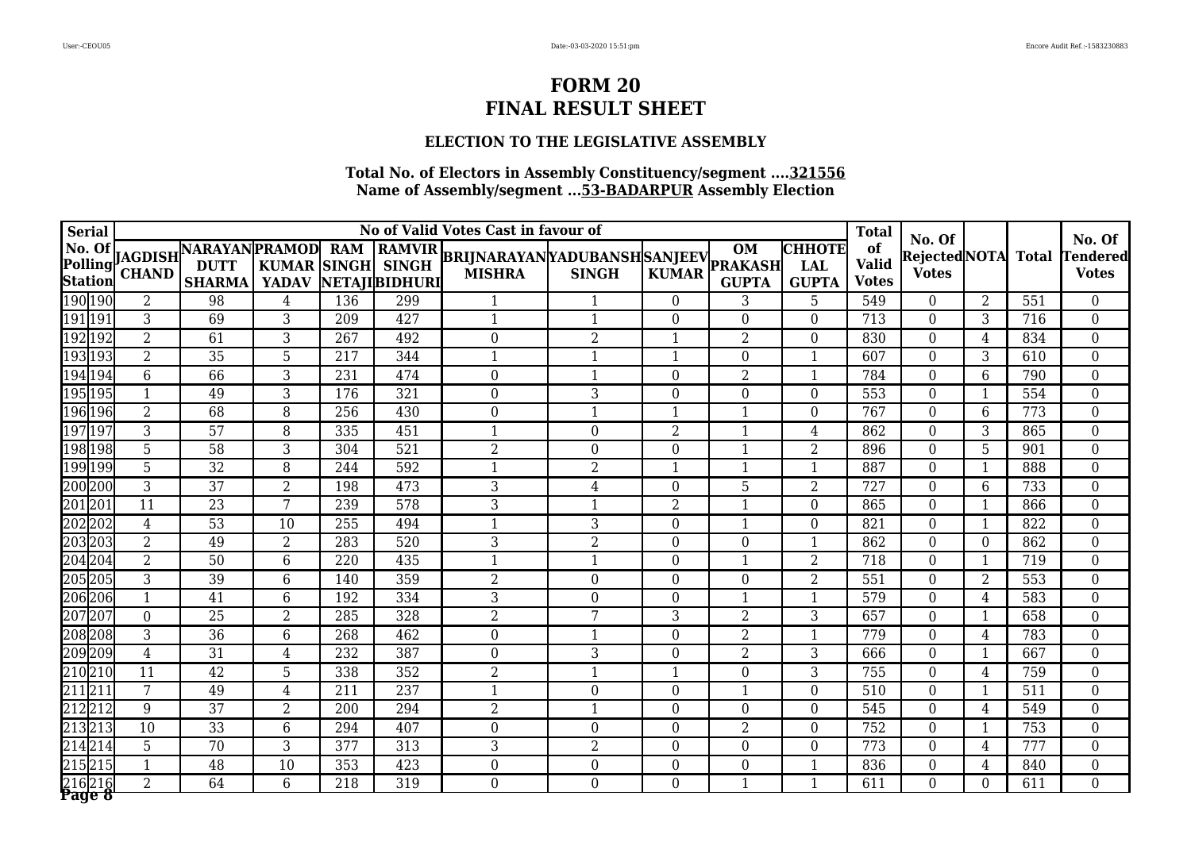### **ELECTION TO THE LEGISLATIVE ASSEMBLY**

|         | <b>Serial</b>    |                 |                                                 |                 |                            |                  | No of Valid Votes Cast in favour of                   |                  |                |                                             |                                             | <b>Total</b>                       | No. Of                       |                 |              | No. Of                          |
|---------|------------------|-----------------|-------------------------------------------------|-----------------|----------------------------|------------------|-------------------------------------------------------|------------------|----------------|---------------------------------------------|---------------------------------------------|------------------------------------|------------------------------|-----------------|--------------|---------------------------------|
|         | Station          | <b>CHAND</b>    | Polling JAGDISH NARAYAN PRAMOD<br><b>SHARMA</b> | <b>YADAV</b>    | <b>RAM</b><br><b>SINGH</b> | NETAJIBIDHURI    | RAMVIR BRIJNARAYAN YADUBANSH SANJEEV<br><b>MISHRA</b> | <b>SINGH</b>     | <b>KUMAR</b>   | <b>OM</b><br><b>PRAKASH</b><br><b>GUPTA</b> | <b>СННОТЕ</b><br><b>LAL</b><br><b>GUPTA</b> | of<br><b>Valid</b><br><b>Votes</b> | RejectedNOTA<br><b>Votes</b> |                 | <b>Total</b> | <b>Tendered</b><br><b>Votes</b> |
|         | 190 190          | $\overline{2}$  | 98                                              | 4               | 136                        | 299              | $\mathbf{1}$                                          | $\mathbf{1}$     | $\overline{0}$ | 3                                           | 5                                           | 549                                | $\overline{0}$               | $\overline{2}$  | 551          | $\overline{0}$                  |
| 191 191 |                  | 3               | 69                                              | 3               | 209                        | 427              | $\mathbf{1}$                                          | $\mathbf{1}$     | $\overline{0}$ | $\boldsymbol{0}$                            | $\boldsymbol{0}$                            | 713                                | $\overline{0}$               | 3               | 716          | $\overline{0}$                  |
|         | 192 192          | $\overline{2}$  | 61                                              | 3               | 267                        | 492              | $\boldsymbol{0}$                                      | $\overline{2}$   | 1              | $\overline{2}$                              | $\boldsymbol{0}$                            | 830                                | $\overline{0}$               | $\overline{4}$  | 834          | $\overline{0}$                  |
|         | 193193           | $\overline{2}$  | 35                                              | 5               | 217                        | 344              | $\mathbf{1}$                                          | $\mathbf{1}$     | $\mathbf{1}$   | $\mathbf{0}$                                | $\mathbf{1}$                                | 607                                | $\Omega$                     | 3               | 610          | $\boldsymbol{0}$                |
|         | 194194           | $6\,$           | 66                                              | 3               | 231                        | 474              | $\boldsymbol{0}$                                      | 1                | $\theta$       | $\overline{2}$                              | $\mathbf{1}$                                | 784                                | $\theta$                     | 6               | 790          | $\overline{0}$                  |
|         | 195 195          | $\mathbf{1}$    | 49                                              | 3               | 176                        | 321              | $\mathbf{0}$                                          | 3                | $\theta$       | $\theta$                                    | $\boldsymbol{0}$                            | 553                                | $\theta$                     | -1              | 554          | $\overline{0}$                  |
|         | 196 196          | $\overline{2}$  | 68                                              | 8               | 256                        | 430              | $\boldsymbol{0}$                                      | $\mathbf{1}$     | 1              | $\mathbf 1$                                 | $\boldsymbol{0}$                            | 767                                | $\Omega$                     | $6\phantom{1}6$ | 773          | $\overline{0}$                  |
|         | 197197           | 3               | 57                                              | 8               | 335                        | 451              | $\mathbf{1}$                                          | $\Omega$         | $\overline{2}$ |                                             | 4                                           | 862                                | $\Omega$                     | 3               | 865          | $\boldsymbol{0}$                |
|         | 198 198          | $\overline{5}$  | $\overline{58}$                                 | 3               | 304                        | 521              | $\overline{2}$                                        | $\overline{0}$   | $\Omega$       | $\mathbf{1}$                                | $\overline{2}$                              | 896                                | $\Omega$                     | 5               | 901          | $\overline{0}$                  |
|         | 199199           | 5               | 32                                              | 8               | 244                        | 592              | $\mathbf{1}$                                          | $\overline{2}$   | 1              | 1                                           | $\mathbf{1}$                                | 887                                | $\Omega$                     | -1              | 888          | $\overline{0}$                  |
|         | 200200           | $\overline{3}$  | $\overline{37}$                                 | $\overline{2}$  | 198                        | 473              | $\overline{3}$                                        | 4                | $\Omega$       | 5                                           | $\overline{2}$                              | 727                                | $\Omega$                     | 6               | 733          | $\overline{0}$                  |
| 201201  |                  | $\overline{11}$ | $\overline{23}$                                 | 7               | 239                        | $\overline{578}$ | $\overline{3}$                                        |                  | $\overline{2}$ |                                             | $\boldsymbol{0}$                            | 865                                | $\Omega$                     |                 | 866          | $\overline{0}$                  |
|         | 202202           | $\overline{4}$  | $\overline{53}$                                 | $\overline{10}$ | $\overline{255}$           | 494              | $\mathbf{1}$                                          | $\overline{3}$   | $\overline{0}$ | $\mathbf{1}$                                | $\boldsymbol{0}$                            | 821                                | $\overline{0}$               |                 | 822          | $\boldsymbol{0}$                |
|         | 203203           | $\overline{2}$  | 49                                              | $\overline{2}$  | 283                        | 520              | 3                                                     | $\overline{2}$   | $\overline{0}$ | $\boldsymbol{0}$                            | $\mathbf{1}$                                | 862                                | $\overline{0}$               | $\overline{0}$  | 862          | $\overline{0}$                  |
|         | 204 204          | $\overline{2}$  | 50                                              | 6               | $\overline{220}$           | 435              | $\mathbf{1}$                                          | 1                | $\Omega$       |                                             | $\overline{2}$                              | 718                                | $\overline{0}$               |                 | 719          | $\boldsymbol{0}$                |
|         | 205205           | 3               | 39                                              | 6               | 140                        | 359              | $\overline{2}$                                        | $\mathbf 0$      | $\Omega$       | $\theta$                                    | $\overline{2}$                              | 551                                | $\Omega$                     | 2               | 553          | $\boldsymbol{0}$                |
|         | 206206           | $\mathbf{1}$    | 41                                              | 6               | 192                        | 334              | 3                                                     | $\overline{0}$   | $\Omega$       | $\mathbf{1}$                                | $\mathbf{1}$                                | 579                                | $\Omega$                     | 4               | 583          | $\overline{0}$                  |
|         | 207207           | $\overline{0}$  | $\overline{25}$                                 | 2               | 285                        | 328              | 2                                                     | 7                | 3              | $\overline{2}$                              | $\overline{3}$                              | 657                                | $\Omega$                     |                 | 658          | $\overline{0}$                  |
|         | 208208           | 3               | $\overline{36}$                                 | 6               | 268                        | 462              | $\boldsymbol{0}$                                      | 1                | $\Omega$       | $\overline{2}$                              | $\mathbf{1}$                                | 779                                | $\Omega$                     | 4               | 783          | $\overline{0}$                  |
|         | 209209           | $\overline{4}$  | $\overline{31}$                                 | 4               | 232                        | $\overline{387}$ | $\boldsymbol{0}$                                      | $\overline{3}$   | $\Omega$       | $\overline{2}$                              | $\overline{3}$                              | 666                                | $\Omega$                     |                 | 667          | $\overline{0}$                  |
| 210210  |                  | 11              | 42                                              | 5               | 338                        | 352              | $\overline{2}$                                        | $\mathbf{1}$     | 1              | $\mathbf{0}$                                | 3                                           | 755                                | $\overline{0}$               | 4               | 759          | $\overline{0}$                  |
| 211211  |                  | $\overline{7}$  | 49                                              | 4               | 211                        | 237              | $\mathbf{1}$                                          | $\overline{0}$   | $\overline{0}$ |                                             | $\boldsymbol{0}$                            | 510                                | $\theta$                     | 1               | 511          | $\overline{0}$                  |
|         | 212212           | $\overline{9}$  | $\overline{37}$                                 | $\overline{2}$  | $\overline{200}$           | 294              | $\overline{2}$                                        | $\mathbf{1}$     | $\Omega$       | $\mathbf{0}$                                | $\boldsymbol{0}$                            | $\overline{545}$                   | $\overline{0}$               | 4               | 549          | $\overline{0}$                  |
| 213213  |                  | $\overline{10}$ | $\overline{33}$                                 | 6               | 294                        | 407              | $\boldsymbol{0}$                                      | $\boldsymbol{0}$ | $\Omega$       | $\overline{2}$                              | $\boldsymbol{0}$                            | 752                                | $\Omega$                     |                 | 753          | $\overline{0}$                  |
| 214214  |                  | 5               | 70                                              | 3               | 377                        | 313              | 3                                                     | 2                | $\overline{0}$ | $\boldsymbol{0}$                            | $\boldsymbol{0}$                            | 773                                | $\overline{0}$               | $\overline{4}$  | 777          | $\overline{0}$                  |
|         | $\sqrt{215}$ 215 | $\mathbf{1}$    | 48                                              | 10              | 353                        | 423              | $\boldsymbol{0}$                                      | $\boldsymbol{0}$ | $\overline{0}$ | $\boldsymbol{0}$                            | $\mathbf{1}$                                | 836                                | $\Omega$                     | $\overline{4}$  | 840          | $\overline{0}$                  |
|         | 216216<br>Page 8 | $\overline{2}$  | 64                                              | 6               | 218                        | 319              | $\boldsymbol{0}$                                      | $\overline{0}$   | $\Omega$       | $\mathbf{1}$                                | $\overline{1}$                              | 611                                | $\Omega$                     | $\Omega$        | 611          | $\overline{0}$                  |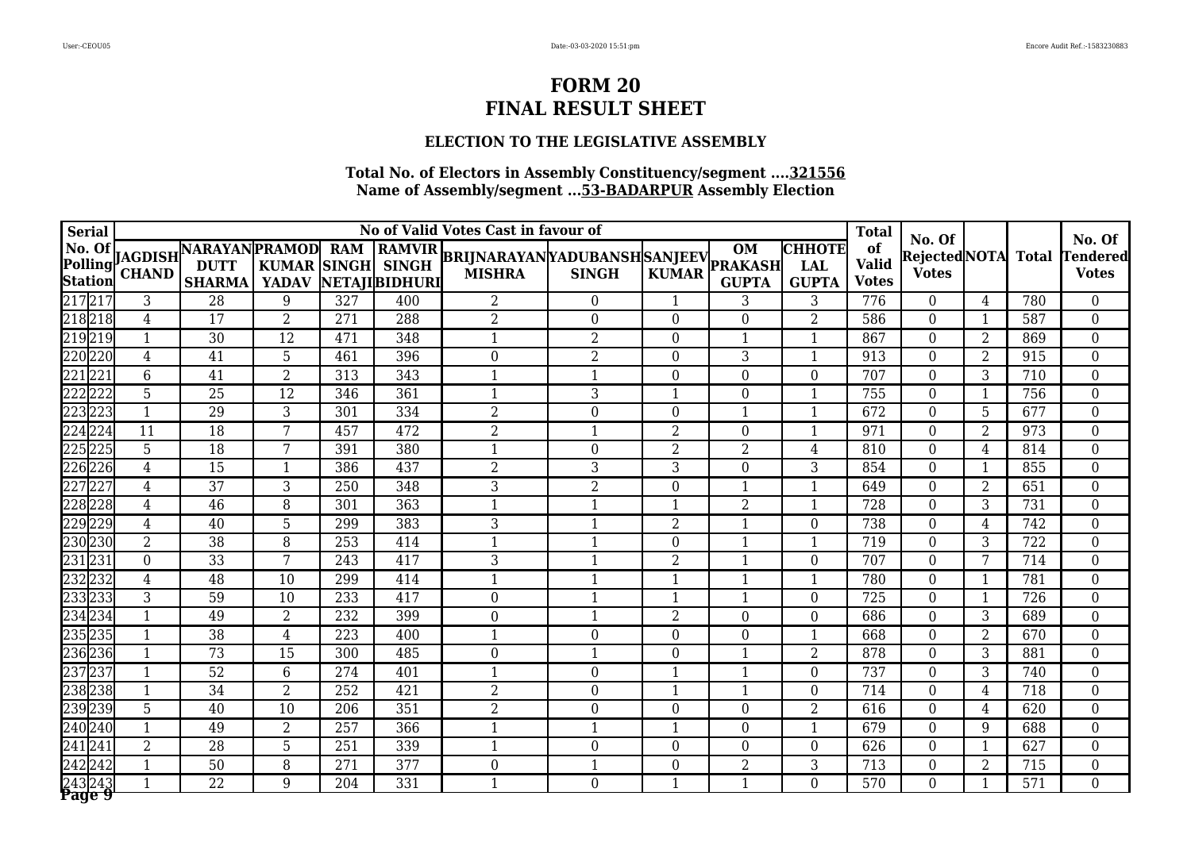### **ELECTION TO THE LEGISLATIVE ASSEMBLY**

|        | <b>Serial</b>    |                  |                                                                             |                 |                            |               | No of Valid Votes Cast in favour of                   |                  |                |                                             |                                             | <b>Total</b>                       |                                        |                |                  |                                           |
|--------|------------------|------------------|-----------------------------------------------------------------------------|-----------------|----------------------------|---------------|-------------------------------------------------------|------------------|----------------|---------------------------------------------|---------------------------------------------|------------------------------------|----------------------------------------|----------------|------------------|-------------------------------------------|
|        | <b>Station</b>   |                  | No. Of AGDISH NARAYAN PRAMOD<br>Polling CHAND SHAPMA VADAV<br><b>SHARMA</b> | <b>YADAV</b>    | <b>RAM</b><br><b>SINGH</b> | NETAJIBIDHURI | RAMVIR BRIJNARAYAN YADUBANSH SANJEEV<br><b>MISHRA</b> | <b>SINGH</b>     | <b>KUMAR</b>   | <b>OM</b><br><b>PRAKASH</b><br><b>GUPTA</b> | <b>СННОТЕ</b><br><b>LAL</b><br><b>GUPTA</b> | of<br><b>Valid</b><br><b>Votes</b> | No. Of<br>RejectedNOTA<br><b>Votes</b> |                | <b>Total</b>     | No. Of<br><b>Tendered</b><br><b>Votes</b> |
| 217217 |                  | 3                | $\overline{28}$                                                             | 9               | 327                        | 400           | $\overline{2}$                                        | $\overline{0}$   |                | 3                                           | $\overline{3}$                              | 776                                | $\Omega$                               | 4              | 780              | $\overline{0}$                            |
|        | 218218           | $\overline{4}$   | 17                                                                          | 2               | 271                        | 288           | $\overline{2}$                                        | $\boldsymbol{0}$ | $\Omega$       | $\mathbf{0}$                                | $\overline{2}$                              | 586                                | $\overline{0}$                         |                | 587              | $\overline{0}$                            |
|        | 219219           | $\mathbf{1}$     | 30                                                                          | 12              | 471                        | 348           | $\mathbf{1}$                                          | $\overline{2}$   | $\overline{0}$ | $\mathbf{1}$                                | $\mathbf{1}$                                | 867                                | $\overline{0}$                         | $\overline{2}$ | 869              | $\overline{0}$                            |
|        | 220220           | $\overline{4}$   | 41                                                                          | 5               | 461                        | 396           | $\boldsymbol{0}$                                      | 2                | $\Omega$       | 3                                           | $\mathbf{1}$                                | 913                                | $\Omega$                               | $\overline{2}$ | 915              | $\overline{0}$                            |
| 221221 |                  | 6                | 41                                                                          | 2               | 313                        | 343           | $\mathbf{1}$                                          | 1                | $\Omega$       | $\theta$                                    | 0                                           | 707                                | $\Omega$                               | 3              | 710              | $\boldsymbol{0}$                          |
| 222222 |                  | $\overline{5}$   | $\overline{25}$                                                             | $\overline{12}$ | 346                        | 361           | $\mathbf{1}$                                          | 3                | 1              | $\mathbf{0}$                                | $\mathbf{1}$                                | 755                                | $\Omega$                               | 1              | 756              | $\overline{0}$                            |
|        | 223223           | $\mathbf{1}$     | 29                                                                          | 3               | 301                        | 334           | 2                                                     | $\overline{0}$   | $\Omega$       | $\mathbf{1}$                                | $\mathbf{1}$                                | 672                                | $\Omega$                               | 5              | 677              | $\overline{0}$                            |
|        | 224224           | 11               | $\overline{18}$                                                             | 7               | 457                        | 472           | $\overline{2}$                                        | $\mathbf{1}$     | 2              | $\theta$                                    | $\mathbf{1}$                                | 971                                | $\Omega$                               | $\overline{2}$ | 973              | $\overline{0}$                            |
| 225225 |                  | $\overline{5}$   | $\overline{18}$                                                             | 7               | 391                        | 380           | $\mathbf{1}$                                          | $\overline{0}$   | $\overline{2}$ | $\overline{2}$                              | $\overline{4}$                              | 810                                | $\overline{0}$                         | $\overline{4}$ | 814              | $\overline{0}$                            |
|        | 226226           | $\overline{4}$   | 15                                                                          | $\mathbf{1}$    | 386                        | 437           | $\boldsymbol{2}$                                      | 3                | 3              | $\boldsymbol{0}$                            | 3                                           | 854                                | $\overline{0}$                         | $\mathbf{1}$   | 855              | $\overline{0}$                            |
| 227227 |                  | $\overline{4}$   | 37                                                                          | 3               | 250                        | 348           | 3                                                     | $\overline{2}$   | $\Omega$       | $\mathbf{1}$                                | $\mathbf{1}$                                | 649                                | $\overline{0}$                         | $\overline{2}$ | 651              | $\overline{0}$                            |
|        | 228 228          | 4                | 46                                                                          | 8               | 301                        | 363           | $\mathbf{1}$                                          | 1                |                | $\overline{2}$                              | $\mathbf{1}$                                | $\overline{728}$                   | $\Omega$                               | 3              | 731              | $\boldsymbol{0}$                          |
|        | 229229           | $\overline{4}$   | 40                                                                          | 5               | 299                        | 383           | 3                                                     | $\mathbf 1$      | $\overline{2}$ | $\mathbf{1}$                                | $\boldsymbol{0}$                            | 738                                | $\Omega$                               | 4              | 742              | $\overline{0}$                            |
|        | 230230           | $\overline{2}$   | 38                                                                          | 8               | 253                        | 414           | 1                                                     | $\mathbf{1}$     | $\Omega$       | -1                                          | $\mathbf{1}$                                | 719                                | $\Omega$                               | 3              | 722              | $\overline{0}$                            |
|        | 231231           | $\boldsymbol{0}$ | $\overline{33}$                                                             | 7               | $\overline{243}$           | 417           | $\overline{3}$                                        | $\mathbf{1}$     | $\overline{2}$ |                                             | $\boldsymbol{0}$                            | 707                                | $\Omega$                               | 7              | 714              | $\overline{0}$                            |
| 232232 |                  | $\overline{4}$   | 48                                                                          | 10              | 299                        | 414           | 1                                                     |                  |                |                                             | 1                                           | 780                                | $\Omega$                               |                | 781              | $\boldsymbol{0}$                          |
|        | 233 233          | $\overline{3}$   | $\overline{59}$                                                             | $\overline{10}$ | 233                        | 417           | $\boldsymbol{0}$                                      | $\mathbf{1}$     |                | $\mathbf{1}$                                | $\boldsymbol{0}$                            | $\overline{725}$                   | $\overline{0}$                         | 1              | $\overline{726}$ | $\overline{0}$                            |
|        | 234 234          | $\mathbf{1}$     | 49                                                                          | $\overline{2}$  | 232                        | 399           | $\boldsymbol{0}$                                      | $\mathbf{1}$     | $\overline{2}$ | $\theta$                                    | $\boldsymbol{0}$                            | 686                                | $\overline{0}$                         | $\mathbf{3}$   | 689              | $\overline{0}$                            |
|        | 235235           | $\mathbf{1}$     | $\overline{38}$                                                             | 4               | 223                        | 400           | $\mathbf{1}$                                          | $\overline{0}$   | $\Omega$       | $\Omega$                                    | $\mathbf{1}$                                | 668                                | $\Omega$                               | $\overline{2}$ | 670              | $\overline{0}$                            |
|        | 236236           | 1                | $\overline{73}$                                                             | 15              | 300                        | 485           | $\boldsymbol{0}$                                      | 1                | $\Omega$       |                                             | $\overline{2}$                              | 878                                | $\Omega$                               | 3              | 881              | $\overline{0}$                            |
|        | 237237           | $\mathbf{1}$     | $\overline{52}$                                                             | 6               | 274                        | 401           | $\mathbf{1}$                                          | $\boldsymbol{0}$ | 1              | $\mathbf{1}$                                | $\boldsymbol{0}$                            | 737                                | $\Omega$                               | 3              | 740              | $\overline{0}$                            |
|        | 238238           | $\mathbf{1}$     | 34                                                                          | 2               | 252                        | 421           | $\overline{2}$                                        | $\Omega$         | -1             |                                             | $\boldsymbol{0}$                            | 714                                | $\Omega$                               | 4              | 718              | $\overline{0}$                            |
|        | 239239           | $\overline{5}$   | 40                                                                          | $\overline{10}$ | $\overline{206}$           | 351           | $\overline{2}$                                        | $\overline{0}$   | $\Omega$       | $\Omega$                                    | $\overline{2}$                              | 616                                | $\Omega$                               | 4              | 620              | $\overline{0}$                            |
|        | 240240           | 1                | 49                                                                          | $\overline{2}$  | 257                        | 366           | $\mathbf{1}$                                          | $\mathbf{1}$     |                | $\theta$                                    | $\mathbf{1}$                                | 679                                | $\Omega$                               | 9              | 688              | $\overline{0}$                            |
| 241241 |                  | $\overline{2}$   | $\overline{28}$                                                             | 5               | 251                        | 339           | $\mathbf{1}$                                          | $\boldsymbol{0}$ | $\overline{0}$ | $\theta$                                    | $\boldsymbol{0}$                            | 626                                | $\overline{0}$                         | 1              | 627              | $\overline{0}$                            |
|        | 242 242          | $\mathbf{1}$     | 50                                                                          | 8               | 271                        | 377           | $\boldsymbol{0}$                                      | $\mathbf{1}$     | $\overline{0}$ | $\overline{2}$                              | 3                                           | 713                                | $\Omega$                               | $\overline{2}$ | 715              | $\overline{0}$                            |
|        | 243243<br>Page 9 | $\mathbf{1}$     | 22                                                                          | 9               | 204                        | 331           | $\mathbf{1}$                                          | $\overline{0}$   | 1              | $\overline{\mathbf{1}}$                     | $\mathbf{0}$                                | 570                                | $\Omega$                               | $\mathbf{1}$   | 571              | $\overline{0}$                            |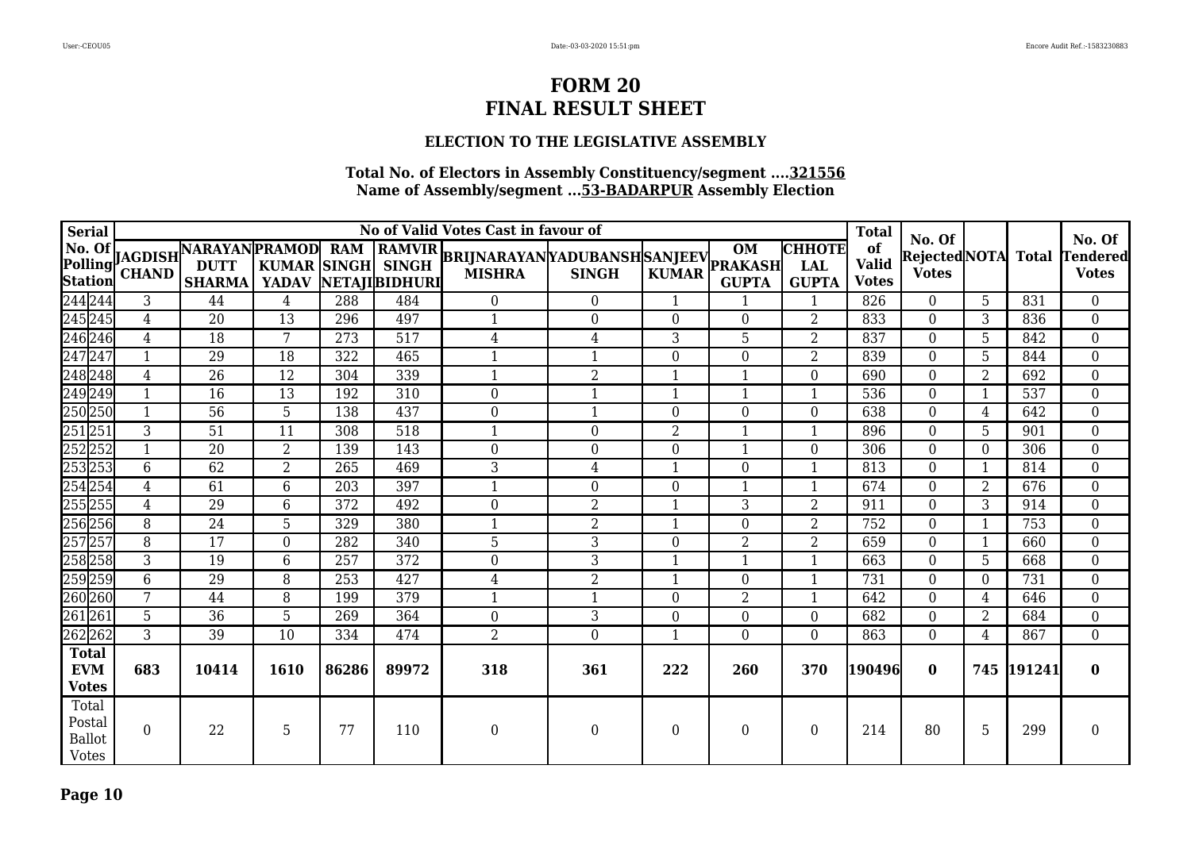### **ELECTION TO THE LEGISLATIVE ASSEMBLY**

| <b>Serial</b>                                                                                                                  |                |                                                                                                                                                                 |                          |                  |                  | No of Valid Votes Cast in favour of                               |                  |                |                  |                                      | <b>Total</b>                       | No. Of                             |                |            |                                          |
|--------------------------------------------------------------------------------------------------------------------------------|----------------|-----------------------------------------------------------------------------------------------------------------------------------------------------------------|--------------------------|------------------|------------------|-------------------------------------------------------------------|------------------|----------------|------------------|--------------------------------------|------------------------------------|------------------------------------|----------------|------------|------------------------------------------|
|                                                                                                                                |                | <b>Serial</b><br>No. Of <b>JAGDISH</b><br>NARAYAN PRAMOD<br>Station CHAND<br>SHARMA YADAV<br>244244 3 44 4<br>245245 4 20 13<br>246246 4 18 7<br>247247 1 29 18 | <b>KUMAR SINGH SINGH</b> |                  | NETAJIBIDHURI    | RAM RAMVIR BRIJNARAYAN YADUBANSH SANJEEV PRAKASH<br><b>MISHRA</b> | <b>SINGH</b>     | <b>KUMAR</b>   | <b>GUPTA</b>     | снноте<br><b>LAL</b><br><b>GUPTA</b> | of<br><b>Valid</b><br><b>Votes</b> | RejectedNOTA Total<br><b>Votes</b> |                |            | No. Of<br><b>endered</b><br><b>Votes</b> |
|                                                                                                                                |                |                                                                                                                                                                 |                          | 288              | 484              | $\overline{0}$                                                    | $\mathbf{0}$     | 1              |                  | $\mathbf{1}$                         | 826                                | $\Omega$                           | 5              | 831        | $\overline{0}$                           |
|                                                                                                                                |                |                                                                                                                                                                 |                          | 296              | 497              | $\mathbf{1}$                                                      | $\boldsymbol{0}$ | $\overline{0}$ | $\boldsymbol{0}$ | $\overline{2}$                       | 833                                | $\theta$                           | 3              | 836        | $\overline{0}$                           |
|                                                                                                                                |                |                                                                                                                                                                 |                          | 273              | 517              | $\overline{4}$                                                    | $\overline{4}$   | 3              | 5                | $\overline{2}$                       | 837                                | $\Omega$                           | 5              | 842        | $\overline{0}$                           |
|                                                                                                                                |                |                                                                                                                                                                 |                          | 322              | 465              | $\mathbf{1}$                                                      | $\mathbf{1}$     | $\Omega$       | $\mathbf{0}$     | $\overline{2}$                       | 839                                | $\Omega$                           | 5              | 844        | $\overline{0}$                           |
| 248 248<br>249 249                                                                                                             | 4              | 26                                                                                                                                                              | 12                       | 304              | 339              | $\mathbf{1}$                                                      | $\overline{2}$   | 1              | $\mathbf{1}$     | $\theta$                             | 690                                | $\theta$                           | $\overline{2}$ | 692        | $\overline{0}$                           |
|                                                                                                                                | $\mathbf{1}$   | 16                                                                                                                                                              | 13                       | 192              | 310              | $\boldsymbol{0}$                                                  | $\mathbf{1}$     | $\mathbf{1}$   | $\mathbf{1}$     | $\mathbf{1}$                         | 536                                | $\Omega$                           | 1              | 537        | $\boldsymbol{0}$                         |
| 250250<br>251251<br>252252<br>252252<br>253255<br>255255<br>255255<br>257257<br>258258<br>259259<br>260260<br>260260<br>261261 | $\mathbf{1}$   | 56                                                                                                                                                              | 5                        | 138              | 437              | $\boldsymbol{0}$                                                  | $\mathbf{1}$     | $\Omega$       | $\theta$         | $\mathbf{0}$                         | 638                                | $\Omega$                           | 4              | 642        | $\boldsymbol{0}$                         |
|                                                                                                                                | 3              | 51                                                                                                                                                              | 11                       | 308              | 518              | $\mathbf{1}$                                                      | $\boldsymbol{0}$ | $\overline{2}$ |                  | $\mathbf{1}$                         | 896                                | $\Omega$                           | 5              | 901        | $\overline{0}$                           |
|                                                                                                                                | $\mathbf{1}$   | $\overline{20}$                                                                                                                                                 | $\overline{2}$           | 139              | 143              | $\boldsymbol{0}$                                                  | $\boldsymbol{0}$ | $\Omega$       | $\mathbf{1}$     | $\theta$                             | 306                                | $\Omega$                           | $\Omega$       | 306        | $\boldsymbol{0}$                         |
|                                                                                                                                | 6              | 62                                                                                                                                                              | $\overline{2}$           | 265              | 469              | $\mathfrak{Z}$                                                    | $\overline{4}$   | $\mathbf 1$    | $\theta$         | 1                                    | 813                                | $\theta$                           | -1             | 814        | $\overline{0}$                           |
|                                                                                                                                | $\overline{4}$ | 61                                                                                                                                                              | 6                        | $\overline{203}$ | 397              | $\mathbf{1}$                                                      | $\theta$         | $\Omega$       | $\mathbf{1}$     | $\mathbf{1}$                         | 674                                | $\Omega$                           | $\overline{2}$ | 676        | $\boldsymbol{0}$                         |
|                                                                                                                                | 4              | 29                                                                                                                                                              | 6                        | 372              | 492              | $\theta$                                                          | $\overline{2}$   |                | 3                | $\overline{2}$                       | 911                                | $\Omega$                           | 3              | 914        | $\overline{0}$                           |
|                                                                                                                                | 8              | $\overline{24}$                                                                                                                                                 | $\overline{5}$           | 329              | 380              | $\mathbf{1}$                                                      | $\overline{2}$   | 1              | $\theta$         | $\overline{2}$                       | 752                                | $\Omega$                           |                | 753        | $\overline{0}$                           |
|                                                                                                                                | 8              | 17                                                                                                                                                              | $\theta$                 | 282              | 340              | 5                                                                 | 3                | $\theta$       | $\overline{2}$   | $\overline{2}$                       | 659                                | $\Omega$                           | -1             | 660        | $\boldsymbol{0}$                         |
|                                                                                                                                | 3              | 19                                                                                                                                                              | 6                        | 257              | $\overline{372}$ | $\boldsymbol{0}$                                                  | 3                | $\mathbf 1$    | $\mathbf{1}$     | 1                                    | 663                                | $\Omega$                           | 5              | 668        | $\boldsymbol{0}$                         |
|                                                                                                                                | $6\,$          | 29                                                                                                                                                              | 8                        | 253              | 427              | $\overline{4}$                                                    | $\overline{2}$   | -1             | $\boldsymbol{0}$ | 1                                    | 731                                | $\Omega$                           | $\Omega$       | 731        | $\overline{0}$                           |
|                                                                                                                                | 7              | 44                                                                                                                                                              | 8                        | 199              | 379              | $\mathbf{1}$                                                      | $\mathbf{1}$     | $\theta$       | $\overline{2}$   |                                      | 642                                | $\overline{0}$                     | 4              | 646        | $\overline{0}$                           |
|                                                                                                                                | $\overline{5}$ | $\overline{36}$                                                                                                                                                 | 5                        | 269              | 364              | $\boldsymbol{0}$                                                  | $\overline{3}$   | $\theta$       | $\boldsymbol{0}$ | $\boldsymbol{0}$                     | 682                                | $\theta$                           | $\overline{2}$ | 684        | $\overline{0}$                           |
| 262262                                                                                                                         | 3              | $\overline{39}$                                                                                                                                                 | $\overline{10}$          | 334              | 474              | $\overline{2}$                                                    | $\boldsymbol{0}$ | 1              | $\boldsymbol{0}$ | $\boldsymbol{0}$                     | 863                                | $\theta$                           | 4              | 867        | $\overline{0}$                           |
| <b>Total</b><br><b>EVM</b><br><b>Votes</b>                                                                                     | 683            | 10414                                                                                                                                                           | 1610                     | 86286            | 89972            | 318                                                               | 361              | 222            | 260              | 370                                  | 190496                             | $\mathbf{0}$                       |                | 745 191241 | $\bf{0}$                                 |
| Total<br>Postal<br><b>Ballot</b><br><b>Votes</b>                                                                               | $\mathbf{0}$   | 22                                                                                                                                                              | 5                        | 77               | 110              | $\boldsymbol{0}$                                                  | $\boldsymbol{0}$ | $\Omega$       | $\boldsymbol{0}$ | $\boldsymbol{0}$                     | 214                                | 80                                 | 5              | 299        | 0                                        |